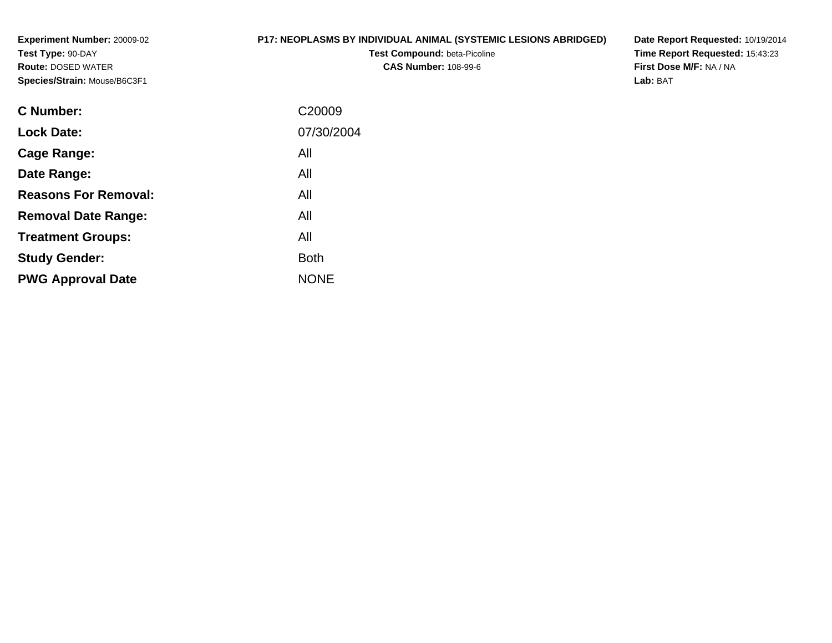**Experiment Number:** 20009-02**Test Type:** 90-DAY **Route:** DOSED WATER**Species/Strain:** Mouse/B6C3F1

# **P17: NEOPLASMS BY INDIVIDUAL ANIMAL (SYSTEMIC LESIONS ABRIDGED)**

**Test Compound:** beta-Picoline**CAS Number:** 108-99-6

**Date Report Requested:** 10/19/2014 **Time Report Requested:** 15:43:23**First Dose M/F:** NA / NA**Lab:** BAT

| C <sub>20009</sub> |
|--------------------|
| 07/30/2004         |
| All                |
| All                |
| All                |
| All                |
| All                |
| <b>Both</b>        |
| <b>NONE</b>        |
|                    |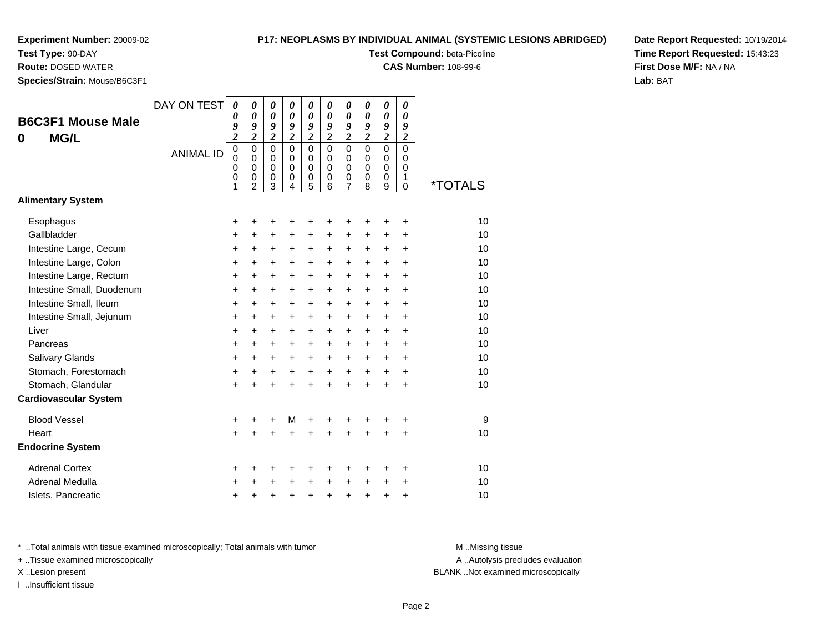**Test Type:** 90-DAY

**Route:** DOSED WATER

**Species/Strain:** Mouse/B6C3F1

## **P17: NEOPLASMS BY INDIVIDUAL ANIMAL (SYSTEMIC LESIONS ABRIDGED)**

**Test Compound:** beta-Picoline

**CAS Number:** 108-99-6

**Date Report Requested:** 10/19/2014**Time Report Requested:** 15:43:23**First Dose M/F:** NA / NA**Lab:** BAT

| <b>B6C3F1 Mouse Male</b><br><b>MG/L</b><br>0 | DAY ON TEST<br><b>ANIMAL ID</b> | 0<br>0<br>9<br>$\overline{c}$<br>$\mathbf 0$<br>$\mathbf 0$<br>0<br>0<br>1 | $\boldsymbol{\theta}$<br>$\boldsymbol{\theta}$<br>9<br>$\boldsymbol{2}$<br>$\mathbf 0$<br>$\Omega$<br>$\mathbf 0$<br>0<br>2 | $\boldsymbol{\theta}$<br>$\boldsymbol{\theta}$<br>9<br>$\boldsymbol{2}$<br>$\mathbf 0$<br>$\mathbf 0$<br>$\mathbf 0$<br>$\pmb{0}$<br>3 | 0<br>$\boldsymbol{\theta}$<br>9<br>$\overline{\mathbf{c}}$<br>$\mathbf{0}$<br>$\Omega$<br>$\mathbf 0$<br>$\mathbf 0$<br>4 | 0<br>0<br>9<br>$\overline{\mathbf{c}}$<br>$\mathbf 0$<br>$\mathbf 0$<br>$\mathbf 0$<br>$\boldsymbol{0}$<br>5 | 0<br>0<br>9<br>$\boldsymbol{2}$<br>$\Omega$<br>$\Omega$<br>$\mathbf 0$<br>0<br>6 | 0<br>$\boldsymbol{\theta}$<br>9<br>$\boldsymbol{2}$<br>$\mathbf 0$<br>0<br>$\mathbf 0$<br>$\,0\,$<br>$\overline{7}$ | $\boldsymbol{\theta}$<br>0<br>9<br>$\boldsymbol{2}$<br>$\mathbf 0$<br>$\Omega$<br>$\mathbf 0$<br>0<br>8 | 0<br>0<br>9<br>$\overline{c}$<br>$\mathbf 0$<br>$\mathbf 0$<br>$\mathbf 0$<br>0<br>9 | 0<br>0<br>9<br>$\boldsymbol{2}$<br>$\mathbf 0$<br>0<br>$\mathbf 0$<br>1<br>0 | <i><b>*TOTALS</b></i> |
|----------------------------------------------|---------------------------------|----------------------------------------------------------------------------|-----------------------------------------------------------------------------------------------------------------------------|----------------------------------------------------------------------------------------------------------------------------------------|---------------------------------------------------------------------------------------------------------------------------|--------------------------------------------------------------------------------------------------------------|----------------------------------------------------------------------------------|---------------------------------------------------------------------------------------------------------------------|---------------------------------------------------------------------------------------------------------|--------------------------------------------------------------------------------------|------------------------------------------------------------------------------|-----------------------|
| <b>Alimentary System</b>                     |                                 |                                                                            |                                                                                                                             |                                                                                                                                        |                                                                                                                           |                                                                                                              |                                                                                  |                                                                                                                     |                                                                                                         |                                                                                      |                                                                              |                       |
| Esophagus                                    |                                 | +                                                                          | +                                                                                                                           | +                                                                                                                                      |                                                                                                                           | +                                                                                                            | +                                                                                | +                                                                                                                   |                                                                                                         | +                                                                                    | +                                                                            | 10                    |
| Gallbladder                                  |                                 | $\ddot{}$                                                                  | $\ddot{}$                                                                                                                   | $\ddot{}$                                                                                                                              | $\ddot{}$                                                                                                                 | $\ddot{}$                                                                                                    | $\ddot{}$                                                                        | $\ddot{}$                                                                                                           | $\ddot{}$                                                                                               | $\ddot{}$                                                                            | $\ddot{}$                                                                    | 10                    |
| Intestine Large, Cecum                       |                                 | +                                                                          | $\ddot{}$                                                                                                                   | $\ddot{}$                                                                                                                              | +                                                                                                                         | +                                                                                                            | $\ddot{}$                                                                        | +                                                                                                                   | $\ddot{}$                                                                                               | $\ddot{}$                                                                            | $\ddot{}$                                                                    | 10                    |
| Intestine Large, Colon                       |                                 | +                                                                          | +                                                                                                                           | +                                                                                                                                      | $\ddot{}$                                                                                                                 | +                                                                                                            | $\ddot{}$                                                                        | $\ddot{}$                                                                                                           | $\ddot{}$                                                                                               | $\pm$                                                                                | +                                                                            | 10                    |
| Intestine Large, Rectum                      |                                 | $\ddot{}$                                                                  | $\ddot{}$                                                                                                                   | $\ddot{}$                                                                                                                              | $\ddot{}$                                                                                                                 | $\ddot{}$                                                                                                    | $\ddot{}$                                                                        | $\ddot{}$                                                                                                           | $+$                                                                                                     | $+$                                                                                  | $\ddot{}$                                                                    | 10                    |
| Intestine Small, Duodenum                    |                                 | +                                                                          | $\ddot{}$                                                                                                                   | +                                                                                                                                      | +                                                                                                                         | +                                                                                                            | $\ddot{}$                                                                        | $\ddot{}$                                                                                                           | $\ddot{}$                                                                                               | $\ddot{}$                                                                            | $\ddot{}$                                                                    | 10                    |
| Intestine Small, Ileum                       |                                 | $\ddot{}$                                                                  | $\ddot{}$                                                                                                                   | $\ddot{}$                                                                                                                              | $\ddot{}$                                                                                                                 | +                                                                                                            | $\ddot{}$                                                                        | $\ddot{}$                                                                                                           | $\ddot{}$                                                                                               | $+$                                                                                  | $\ddot{}$                                                                    | 10                    |
| Intestine Small, Jejunum                     |                                 | $\ddot{}$                                                                  | $\ddot{}$                                                                                                                   | $\ddot{}$                                                                                                                              | $\ddot{}$                                                                                                                 | +                                                                                                            | $\ddot{}$                                                                        | $\ddot{}$                                                                                                           | $\ddot{}$                                                                                               | $+$                                                                                  | $\ddot{}$                                                                    | 10                    |
| Liver                                        |                                 | +                                                                          | $\ddot{}$                                                                                                                   | $\ddot{}$                                                                                                                              | $\ddot{}$                                                                                                                 | +                                                                                                            | $\ddot{}$                                                                        | $\ddot{}$                                                                                                           | $\ddot{}$                                                                                               | $\ddot{}$                                                                            | $\ddot{}$                                                                    | 10                    |
| Pancreas                                     |                                 | +                                                                          | $\ddot{}$                                                                                                                   | $\ddot{}$                                                                                                                              | +                                                                                                                         | +                                                                                                            | $\ddot{}$                                                                        | $\ddot{}$                                                                                                           | $\ddot{}$                                                                                               | $+$                                                                                  | $\ddot{}$                                                                    | 10                    |
| Salivary Glands                              |                                 | $\ddot{}$                                                                  | $\ddot{}$                                                                                                                   | $\ddot{}$                                                                                                                              | $\ddot{}$                                                                                                                 | +                                                                                                            | $\ddot{}$                                                                        | $\ddot{}$                                                                                                           | $\ddot{}$                                                                                               | $\ddot{}$                                                                            | $\ddot{}$                                                                    | 10                    |
| Stomach, Forestomach                         |                                 | +                                                                          | +                                                                                                                           | $\ddot{}$                                                                                                                              | $\ddot{}$                                                                                                                 | +                                                                                                            | $\ddot{}$                                                                        | $\ddot{}$                                                                                                           | $\ddot{}$                                                                                               | $+$                                                                                  | $\ddot{}$                                                                    | 10                    |
| Stomach, Glandular                           |                                 | $\ddot{}$                                                                  | Ŧ.                                                                                                                          | $\ddot{}$                                                                                                                              |                                                                                                                           | $\ddot{}$                                                                                                    | ÷                                                                                | $\ddot{}$                                                                                                           | $\ddot{}$                                                                                               | $\ddot{}$                                                                            | $\ddot{}$                                                                    | 10                    |
| <b>Cardiovascular System</b>                 |                                 |                                                                            |                                                                                                                             |                                                                                                                                        |                                                                                                                           |                                                                                                              |                                                                                  |                                                                                                                     |                                                                                                         |                                                                                      |                                                                              |                       |
| <b>Blood Vessel</b>                          |                                 | +                                                                          | +                                                                                                                           | +                                                                                                                                      | M                                                                                                                         | +                                                                                                            | +                                                                                | +                                                                                                                   | ٠                                                                                                       | +                                                                                    | +                                                                            | 9                     |
| Heart                                        |                                 | $\ddot{}$                                                                  |                                                                                                                             | $\ddot{}$                                                                                                                              |                                                                                                                           | $\ddot{}$                                                                                                    | ÷                                                                                | $\ddot{}$                                                                                                           |                                                                                                         |                                                                                      | $\ddot{}$                                                                    | 10                    |
| <b>Endocrine System</b>                      |                                 |                                                                            |                                                                                                                             |                                                                                                                                        |                                                                                                                           |                                                                                                              |                                                                                  |                                                                                                                     |                                                                                                         |                                                                                      |                                                                              |                       |
| <b>Adrenal Cortex</b>                        |                                 | +                                                                          | +                                                                                                                           | +                                                                                                                                      | +                                                                                                                         | +                                                                                                            | +                                                                                | +                                                                                                                   | +                                                                                                       | +                                                                                    | +                                                                            | 10                    |
| Adrenal Medulla                              |                                 | +                                                                          | +                                                                                                                           | $\ddot{}$                                                                                                                              |                                                                                                                           | +                                                                                                            | $\ddot{}$                                                                        | $\ddot{}$                                                                                                           | $\ddot{}$                                                                                               | $\ddot{}$                                                                            | +                                                                            | 10                    |
| Islets, Pancreatic                           |                                 | +                                                                          | +                                                                                                                           | +                                                                                                                                      | +                                                                                                                         | +                                                                                                            | $\pmb{+}$                                                                        | +                                                                                                                   | $\ddot{}$                                                                                               | +                                                                                    | +                                                                            | 10                    |

\* ..Total animals with tissue examined microscopically; Total animals with tumor **M** . Missing tissue M ..Missing tissue

+ ..Tissue examined microscopically

I ..Insufficient tissue

A ..Autolysis precludes evaluation X ..Lesion present BLANK ..Not examined microscopically

Page 2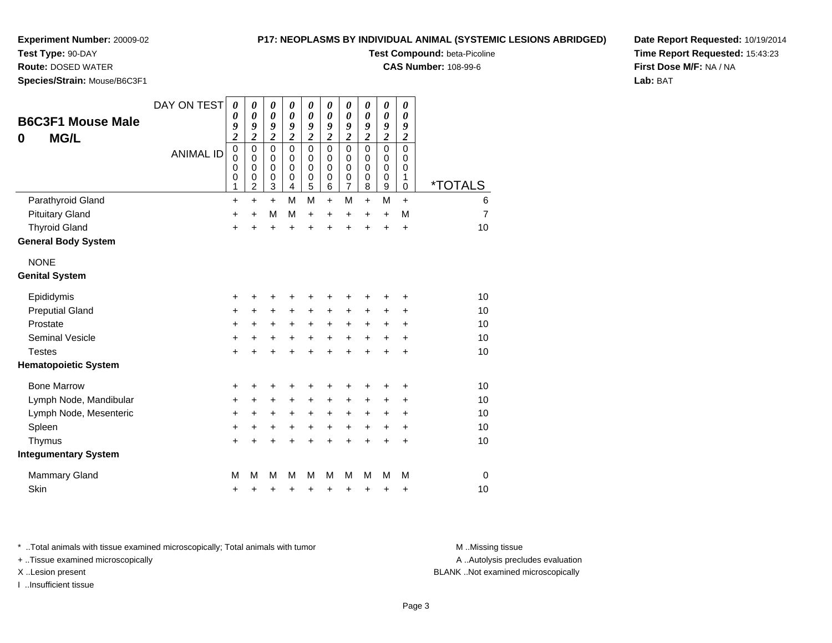**Test Type:** 90-DAY

**Route:** DOSED WATER

**Species/Strain:** Mouse/B6C3F1

## **P17: NEOPLASMS BY INDIVIDUAL ANIMAL (SYSTEMIC LESIONS ABRIDGED)**

**Test Compound:** beta-Picoline

**CAS Number:** 108-99-6

**Date Report Requested:** 10/19/2014**Time Report Requested:** 15:43:23**First Dose M/F:** NA / NA**Lab:** BAT

| <b>B6C3F1 Mouse Male</b><br><b>MG/L</b><br>0 | DAY ON TEST<br><b>ANIMAL ID</b> | 0<br>$\boldsymbol{\theta}$<br>9<br>$\overline{\mathbf{c}}$<br>$\mathbf 0$<br>$\mathbf 0$<br>0<br>$\pmb{0}$<br>1 | $\boldsymbol{\theta}$<br>0<br>9<br>$\overline{c}$<br>$\mathbf 0$<br>$\mathbf 0$<br>0<br>$\boldsymbol{0}$<br>2 | 0<br>$\boldsymbol{\theta}$<br>9<br>$\overline{2}$<br>$\mathbf 0$<br>$\mathbf 0$<br>$\mathbf 0$<br>$\pmb{0}$<br>$\mathbf{3}$ | 0<br>0<br>9<br>$\overline{2}$<br>$\mathbf 0$<br>$\Omega$<br>$\mathbf 0$<br>$\mathbf 0$<br>$\overline{4}$ | 0<br>$\boldsymbol{\theta}$<br>9<br>$\overline{\mathbf{c}}$<br>$\mathbf 0$<br>$\mathbf 0$<br>$\mathbf 0$<br>$\pmb{0}$<br>5 | 0<br>0<br>9<br>$\boldsymbol{2}$<br>$\Omega$<br>$\Omega$<br>0<br>0<br>6 | 0<br>0<br>9<br>$\boldsymbol{2}$<br>$\mathbf 0$<br>$\mathbf 0$<br>0<br>$\boldsymbol{0}$<br>$\overline{7}$ | 0<br>0<br>9<br>$\overline{2}$<br>$\Omega$<br>$\Omega$<br>0<br>0<br>8 | $\boldsymbol{\theta}$<br>$\boldsymbol{\theta}$<br>9<br>$\boldsymbol{2}$<br>$\mathbf 0$<br>$\mathbf 0$<br>0<br>$\pmb{0}$<br>9 | 0<br>0<br>9<br>$\overline{c}$<br>$\mathbf 0$<br>0<br>0<br>1<br>$\pmb{0}$ | <i><b>*TOTALS</b></i> |
|----------------------------------------------|---------------------------------|-----------------------------------------------------------------------------------------------------------------|---------------------------------------------------------------------------------------------------------------|-----------------------------------------------------------------------------------------------------------------------------|----------------------------------------------------------------------------------------------------------|---------------------------------------------------------------------------------------------------------------------------|------------------------------------------------------------------------|----------------------------------------------------------------------------------------------------------|----------------------------------------------------------------------|------------------------------------------------------------------------------------------------------------------------------|--------------------------------------------------------------------------|-----------------------|
| Parathyroid Gland                            |                                 | $\ddot{}$                                                                                                       | $\ddot{}$                                                                                                     | $\ddot{}$                                                                                                                   | M                                                                                                        | M                                                                                                                         | $\ddot{}$                                                              | M                                                                                                        | $\ddot{}$                                                            | M                                                                                                                            | $\ddot{}$                                                                | 6                     |
| <b>Pituitary Gland</b>                       |                                 | +                                                                                                               | $\ddot{}$                                                                                                     | M                                                                                                                           | M                                                                                                        | +                                                                                                                         | $\ddot{}$                                                              | $\ddot{}$                                                                                                | $\ddot{}$                                                            | $\ddot{}$                                                                                                                    | M                                                                        | $\overline{7}$        |
| <b>Thyroid Gland</b>                         |                                 | +                                                                                                               | $\ddot{}$                                                                                                     | $\ddot{}$                                                                                                                   | $\ddot{}$                                                                                                | $\ddot{}$                                                                                                                 | $\ddot{}$                                                              | $\ddot{}$                                                                                                | $\ddot{}$                                                            | $\ddot{}$                                                                                                                    | +                                                                        | 10                    |
| <b>General Body System</b>                   |                                 |                                                                                                                 |                                                                                                               |                                                                                                                             |                                                                                                          |                                                                                                                           |                                                                        |                                                                                                          |                                                                      |                                                                                                                              |                                                                          |                       |
| <b>NONE</b>                                  |                                 |                                                                                                                 |                                                                                                               |                                                                                                                             |                                                                                                          |                                                                                                                           |                                                                        |                                                                                                          |                                                                      |                                                                                                                              |                                                                          |                       |
| <b>Genital System</b>                        |                                 |                                                                                                                 |                                                                                                               |                                                                                                                             |                                                                                                          |                                                                                                                           |                                                                        |                                                                                                          |                                                                      |                                                                                                                              |                                                                          |                       |
| Epididymis                                   |                                 | +                                                                                                               | +                                                                                                             | +                                                                                                                           | +                                                                                                        | +                                                                                                                         | +                                                                      | +                                                                                                        | +                                                                    | +                                                                                                                            | +                                                                        | 10                    |
| <b>Preputial Gland</b>                       |                                 | $\ddot{}$                                                                                                       | $\ddot{}$                                                                                                     | $\ddot{}$                                                                                                                   | +                                                                                                        | $\ddot{}$                                                                                                                 | +                                                                      | +                                                                                                        | +                                                                    | +                                                                                                                            | +                                                                        | 10                    |
| Prostate                                     |                                 | +                                                                                                               | $\ddot{}$                                                                                                     | $\ddot{}$                                                                                                                   | $\ddot{}$                                                                                                | $\ddot{}$                                                                                                                 | $\ddot{}$                                                              | $\ddot{}$                                                                                                | $\ddot{}$                                                            | $\ddot{}$                                                                                                                    | +                                                                        | 10                    |
| <b>Seminal Vesicle</b>                       |                                 | +                                                                                                               | +                                                                                                             | +                                                                                                                           | $\ddot{}$                                                                                                | +                                                                                                                         | $\ddot{}$                                                              | $\ddot{}$                                                                                                | +                                                                    | $\ddot{}$                                                                                                                    | +                                                                        | 10                    |
| <b>Testes</b>                                |                                 | +                                                                                                               |                                                                                                               | $\ddot{}$                                                                                                                   | $\ddot{}$                                                                                                | $\ddot{}$                                                                                                                 | $\ddot{}$                                                              | $\ddot{}$                                                                                                | $\ddot{}$                                                            | $\ddot{}$                                                                                                                    | $\ddot{}$                                                                | 10                    |
| <b>Hematopoietic System</b>                  |                                 |                                                                                                                 |                                                                                                               |                                                                                                                             |                                                                                                          |                                                                                                                           |                                                                        |                                                                                                          |                                                                      |                                                                                                                              |                                                                          |                       |
| <b>Bone Marrow</b>                           |                                 | +                                                                                                               | +                                                                                                             | +                                                                                                                           |                                                                                                          | +                                                                                                                         |                                                                        | +                                                                                                        | +                                                                    | +                                                                                                                            | +                                                                        | 10                    |
| Lymph Node, Mandibular                       |                                 | +                                                                                                               | +                                                                                                             | +                                                                                                                           | $\ddot{}$                                                                                                | +                                                                                                                         | $\ddot{}$                                                              | +                                                                                                        | $\ddot{}$                                                            | $\ddot{}$                                                                                                                    | +                                                                        | 10                    |
| Lymph Node, Mesenteric                       |                                 | +                                                                                                               | +                                                                                                             | +                                                                                                                           | +                                                                                                        | +                                                                                                                         | +                                                                      | +                                                                                                        | $\ddot{}$                                                            | $\ddot{}$                                                                                                                    | +                                                                        | 10                    |
| Spleen                                       |                                 | $\ddot{}$                                                                                                       | +                                                                                                             | +                                                                                                                           | +                                                                                                        | +                                                                                                                         | +                                                                      | $\ddot{}$                                                                                                | $\ddot{}$                                                            | $\ddot{}$                                                                                                                    | $\ddot{}$                                                                | 10                    |
| Thymus                                       |                                 | +                                                                                                               |                                                                                                               | +                                                                                                                           |                                                                                                          | +                                                                                                                         | +                                                                      | $\ddot{}$                                                                                                | $\ddot{}$                                                            | $\ddot{}$                                                                                                                    | $\ddot{}$                                                                | 10                    |
| <b>Integumentary System</b>                  |                                 |                                                                                                                 |                                                                                                               |                                                                                                                             |                                                                                                          |                                                                                                                           |                                                                        |                                                                                                          |                                                                      |                                                                                                                              |                                                                          |                       |
| <b>Mammary Gland</b>                         |                                 | M                                                                                                               | М                                                                                                             | M                                                                                                                           | M                                                                                                        | M                                                                                                                         | М                                                                      | M                                                                                                        | м                                                                    | M                                                                                                                            | M                                                                        | $\mathbf 0$           |
| Skin                                         |                                 | +                                                                                                               | +                                                                                                             | +                                                                                                                           | +                                                                                                        | +                                                                                                                         | +                                                                      | +                                                                                                        | +                                                                    | +                                                                                                                            | +                                                                        | 10                    |

\* ..Total animals with tissue examined microscopically; Total animals with tumor **M** . Missing tissue M ..Missing tissue

+ ..Tissue examined microscopically

I ..Insufficient tissue

A ..Autolysis precludes evaluation

X ..Lesion present BLANK ..Not examined microscopically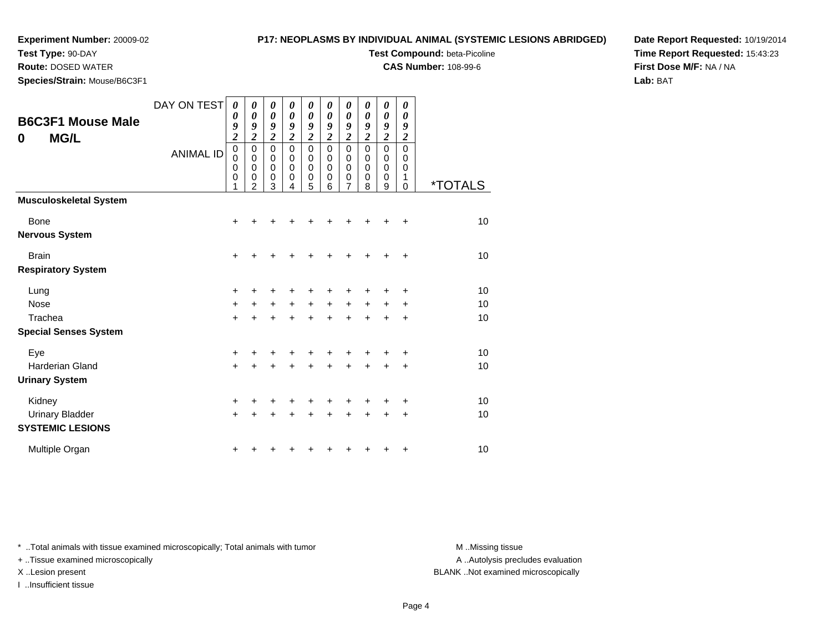**Test Type:** 90-DAY

# **P17: NEOPLASMS BY INDIVIDUAL ANIMAL (SYSTEMIC LESIONS ABRIDGED)**

**Test Compound:** beta-Picoline

**CAS Number:** 108-99-6

**Date Report Requested:** 10/19/2014**Time Report Requested:** 15:43:23**First Dose M/F:** NA / NA**Lab:** BAT

| <b>Route:</b> DOSED WATER    |  |
|------------------------------|--|
| Species/Strain: Mouse/B6C3F1 |  |

|                                                   | DAY ON TEST      | 0<br>0                                                      | 0<br>$\boldsymbol{\theta}$                           | $\boldsymbol{\theta}$<br>$\boldsymbol{\theta}$            | 0<br>$\boldsymbol{\theta}$                | 0<br>$\boldsymbol{\theta}$                | 0<br>$\boldsymbol{\theta}$                | 0<br>$\boldsymbol{\theta}$                                  | 0<br>0                                    | 0<br>$\boldsymbol{\theta}$                          | 0<br>$\boldsymbol{\theta}$                |                       |
|---------------------------------------------------|------------------|-------------------------------------------------------------|------------------------------------------------------|-----------------------------------------------------------|-------------------------------------------|-------------------------------------------|-------------------------------------------|-------------------------------------------------------------|-------------------------------------------|-----------------------------------------------------|-------------------------------------------|-----------------------|
| <b>B6C3F1 Mouse Male</b><br><b>MG/L</b><br>0      |                  | 9<br>$\boldsymbol{2}$                                       | 9<br>$\overline{2}$                                  | 9<br>$\overline{c}$                                       | 9<br>$\overline{\mathbf{c}}$              | 9<br>$\overline{c}$                       | 9<br>$\overline{\mathbf{c}}$              | 9<br>$\overline{\mathbf{c}}$                                | 9<br>$\overline{\mathbf{c}}$              | 9<br>$\overline{2}$                                 | 9<br>$\boldsymbol{2}$                     |                       |
|                                                   | <b>ANIMAL ID</b> | $\pmb{0}$<br>$\mathbf 0$<br>$\mathbf 0$<br>$\mathbf 0$<br>1 | $\pmb{0}$<br>$\mathbf 0$<br>0<br>0<br>$\mathfrak{p}$ | $\mathbf 0$<br>$\pmb{0}$<br>$\pmb{0}$<br>$\mathbf 0$<br>3 | $\mathbf 0$<br>$\mathbf 0$<br>0<br>0<br>4 | $\mathbf 0$<br>0<br>$\mathbf 0$<br>0<br>5 | $\mathbf 0$<br>0<br>$\mathbf 0$<br>0<br>6 | $\pmb{0}$<br>$\mathbf 0$<br>$\mathbf 0$<br>$\mathbf 0$<br>7 | $\mathbf 0$<br>0<br>0<br>$\mathbf 0$<br>8 | $\mathbf 0$<br>0<br>$\mathbf 0$<br>$\mathbf 0$<br>9 | $\mathbf 0$<br>0<br>0<br>1<br>$\mathbf 0$ | <i><b>*TOTALS</b></i> |
| <b>Musculoskeletal System</b>                     |                  |                                                             |                                                      |                                                           |                                           |                                           |                                           |                                                             |                                           |                                                     |                                           |                       |
| Bone                                              |                  | $\ddot{}$                                                   | +                                                    |                                                           |                                           |                                           |                                           |                                                             |                                           |                                                     | +                                         | 10                    |
| <b>Nervous System</b>                             |                  |                                                             |                                                      |                                                           |                                           |                                           |                                           |                                                             |                                           |                                                     |                                           |                       |
| <b>Brain</b>                                      |                  | $\ddot{}$                                                   | ٠                                                    | +                                                         |                                           |                                           | +                                         |                                                             | +                                         | ٠                                                   | $\ddot{}$                                 | 10                    |
| <b>Respiratory System</b>                         |                  |                                                             |                                                      |                                                           |                                           |                                           |                                           |                                                             |                                           |                                                     |                                           |                       |
| Lung                                              |                  | +                                                           | +                                                    | ٠                                                         |                                           | +                                         |                                           |                                                             |                                           |                                                     | +                                         | 10                    |
| <b>Nose</b>                                       |                  | $\ddot{}$                                                   | +                                                    | $\ddot{}$                                                 | $+$                                       | $+$                                       | $+$                                       | $+$                                                         | $+$                                       | $+$                                                 | $\ddot{}$                                 | 10                    |
| Trachea                                           |                  | $\ddot{}$                                                   | ÷                                                    | $\ddot{}$                                                 |                                           | $\ddot{}$                                 | $\ddot{}$                                 | $\ddot{}$                                                   | $\ddot{}$                                 | $\ddot{}$                                           | $\ddot{}$                                 | 10                    |
| <b>Special Senses System</b>                      |                  |                                                             |                                                      |                                                           |                                           |                                           |                                           |                                                             |                                           |                                                     |                                           |                       |
| Eye                                               |                  | $\ddot{}$                                                   |                                                      |                                                           |                                           |                                           |                                           |                                                             |                                           |                                                     | $\ddot{}$                                 | 10                    |
| <b>Harderian Gland</b>                            |                  | $+$                                                         | $\ddot{}$                                            | $\ddot{}$                                                 | +                                         | $\ddot{}$                                 | $\ddot{}$                                 | $\ddot{}$                                                   | $\ddot{}$                                 | $\ddot{}$                                           | $\ddot{}$                                 | 10                    |
| <b>Urinary System</b>                             |                  |                                                             |                                                      |                                                           |                                           |                                           |                                           |                                                             |                                           |                                                     |                                           |                       |
| Kidney                                            |                  | $\ddot{}$                                                   | +                                                    | +                                                         | +                                         | +                                         | +                                         |                                                             | +                                         |                                                     | $\ddot{}$                                 | 10                    |
| <b>Urinary Bladder</b><br><b>SYSTEMIC LESIONS</b> |                  | $\ddot{}$                                                   | +                                                    | +                                                         | +                                         | +                                         | ÷                                         |                                                             | $\ddot{}$                                 | $\ddot{}$                                           | $\ddot{}$                                 | 10                    |
| Multiple Organ                                    |                  | ٠                                                           |                                                      |                                                           |                                           |                                           |                                           |                                                             |                                           | +                                                   | +                                         | 10                    |

\* ..Total animals with tissue examined microscopically; Total animals with tumor **M** . Missing tissue M ..Missing tissue

+ ..Tissue examined microscopically

I ..Insufficient tissue

A ..Autolysis precludes evaluation

X ..Lesion present BLANK ..Not examined microscopically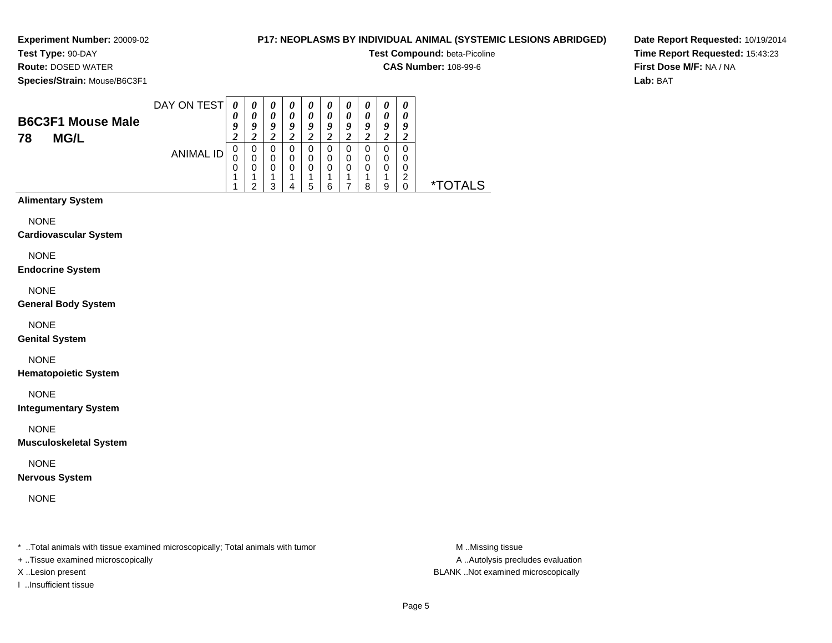# **P17: NEOPLASMS BY INDIVIDUAL ANIMAL (SYSTEMIC LESIONS ABRIDGED)**

**Test Compound:** beta-Picoline

**CAS Number:** 108-99-6

**Species/Strain:** Mouse/B6C3F1

**Route:** DOSED WATER

**Date Report Requested:** 10/19/2014**Time Report Requested:** 15:43:23**First Dose M/F:** NA / NA**Lab:** BAT

| <b>B6C3F1 Mouse Male</b><br><b>MG/L</b><br>78 | DAY ON TEST | 0<br>0 | $\boldsymbol{\theta}$<br>0 | $\boldsymbol{\theta}$<br>0<br>9<br>$\overline{2}$ | $\boldsymbol{\theta}$<br>0<br>Q | $\boldsymbol{\theta}$<br>0<br>Q | $\boldsymbol{\theta}$<br>0<br>q | $\boldsymbol{\theta}$<br>0<br>Q<br>$\epsilon$ | $\boldsymbol{\theta}$<br>0<br>$\boldsymbol{0}$ | $\boldsymbol{\theta}$<br>0<br>9<br>∠ | $\boldsymbol{\theta}$<br>9 |                |
|-----------------------------------------------|-------------|--------|----------------------------|---------------------------------------------------|---------------------------------|---------------------------------|---------------------------------|-----------------------------------------------|------------------------------------------------|--------------------------------------|----------------------------|----------------|
|                                               | ANIMAL ID   | U<br>0 | 0<br>◠                     | 0<br>0<br>0<br>◠                                  | 0<br>0                          | 0<br>0<br>0<br>h                | 0<br>6                          | 0<br>0<br>0                                   | 0<br>0<br>я                                    | 0<br>0<br>0<br>9                     | 0<br>O<br>0<br>◠           | TAI S<br>י זר* |

# **Alimentary System**

NONE

#### **Cardiovascular System**

NONE

#### **Endocrine System**

NONE

#### **General Body System**

NONE

## **Genital System**

NONE

## **Hematopoietic System**

NONE

## **Integumentary System**

NONE

## **Musculoskeletal System**

NONE

## **Nervous System**

NONE

\* ..Total animals with tissue examined microscopically; Total animals with tumor **M** ...Missing tissue M ...Missing tissue

- + ..Tissue examined microscopically
- 
- I ..Insufficient tissue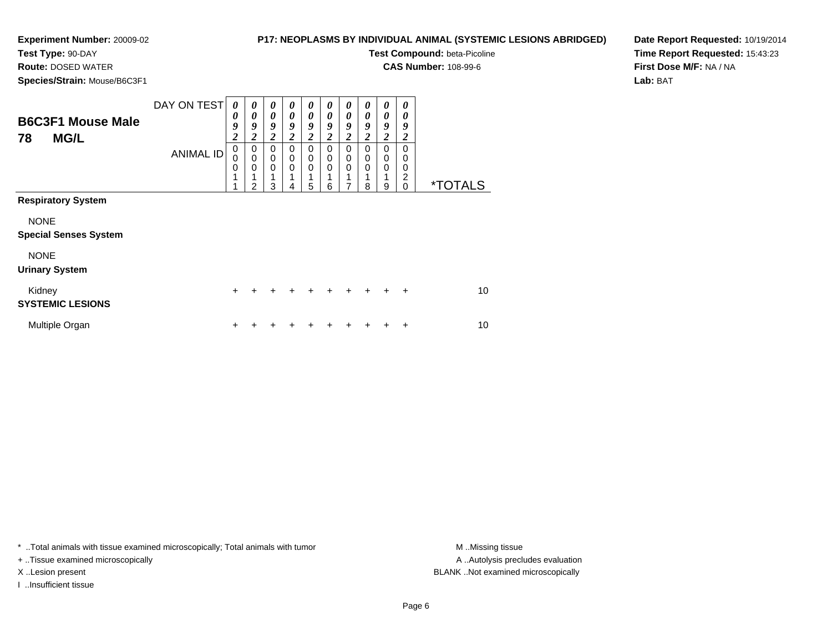**Test Type:** 90-DAY**Route:** DOSED WATER

# **P17: NEOPLASMS BY INDIVIDUAL ANIMAL (SYSTEMIC LESIONS ABRIDGED)**

**Test Compound:** beta-Picoline

**CAS Number:** 108-99-6

**Species/Strain:** Mouse/B6C3F1

**Date Report Requested:** 10/19/2014**Time Report Requested:** 15:43:23**First Dose M/F:** NA / NA**Lab:** BAT

| <b>B6C3F1 Mouse Male</b><br><b>MG/L</b><br>78 | DAY ON TEST<br><b>ANIMAL ID</b> | $\boldsymbol{\theta}$<br>0<br>9<br>$\overline{\mathbf{2}}$<br>$\mathbf 0$<br>0<br>$\mathbf 0$<br>1<br>4 | $\boldsymbol{\theta}$<br>$\boldsymbol{\theta}$<br>9<br>$\boldsymbol{2}$<br>0<br>$\mathbf 0$<br>0<br>$\mathfrak{p}$ | $\boldsymbol{\theta}$<br>$\boldsymbol{\theta}$<br>9<br>$\overline{2}$<br>0<br>0<br>$\mathbf 0$<br>1<br>3 | 0<br>$\theta$<br>9<br>$\overline{\mathbf{c}}$<br>0<br>0<br>$\mathbf 0$<br>4 | 0<br>$\boldsymbol{\theta}$<br>9<br>$\boldsymbol{2}$<br>0<br>0<br>$\mathbf 0$<br>1<br>5 | 0<br>0<br>9<br>2<br>$\Omega$<br>0<br>0<br>6 | 0<br>0<br>9<br>$\boldsymbol{2}$<br>0<br>0<br>$\mathbf 0$<br>7 | 0<br>$\boldsymbol{\theta}$<br>9<br>$\overline{\mathbf{2}}$<br>$\Omega$<br>0<br>$\Omega$<br>8 | 0<br>0<br>9<br>$\boldsymbol{2}$<br>0<br>0<br>$\mathbf 0$<br>1<br>9 | 0<br>0<br>9<br>$\boldsymbol{2}$<br>$\Omega$<br>0<br>0<br>$\overline{c}$<br>$\mathbf 0$ | <i><b>*TOTALS</b></i> |
|-----------------------------------------------|---------------------------------|---------------------------------------------------------------------------------------------------------|--------------------------------------------------------------------------------------------------------------------|----------------------------------------------------------------------------------------------------------|-----------------------------------------------------------------------------|----------------------------------------------------------------------------------------|---------------------------------------------|---------------------------------------------------------------|----------------------------------------------------------------------------------------------|--------------------------------------------------------------------|----------------------------------------------------------------------------------------|-----------------------|
| <b>Respiratory System</b>                     |                                 |                                                                                                         |                                                                                                                    |                                                                                                          |                                                                             |                                                                                        |                                             |                                                               |                                                                                              |                                                                    |                                                                                        |                       |
| <b>NONE</b><br><b>Special Senses System</b>   |                                 |                                                                                                         |                                                                                                                    |                                                                                                          |                                                                             |                                                                                        |                                             |                                                               |                                                                                              |                                                                    |                                                                                        |                       |
| <b>NONE</b><br><b>Urinary System</b>          |                                 |                                                                                                         |                                                                                                                    |                                                                                                          |                                                                             |                                                                                        |                                             |                                                               |                                                                                              |                                                                    |                                                                                        |                       |
| Kidney<br><b>SYSTEMIC LESIONS</b>             |                                 | $\ddot{}$                                                                                               |                                                                                                                    |                                                                                                          | ÷                                                                           | $\div$                                                                                 | $+$                                         | $\ddot{}$                                                     | $+$                                                                                          | $+$                                                                | $\ddot{}$                                                                              | 10                    |
| Multiple Organ                                |                                 | +                                                                                                       |                                                                                                                    |                                                                                                          |                                                                             |                                                                                        |                                             |                                                               |                                                                                              |                                                                    | ÷                                                                                      | 10                    |

\* ..Total animals with tissue examined microscopically; Total animals with tumor **M** . Missing tissue M ..Missing tissue

+ ..Tissue examined microscopically

I ..Insufficient tissue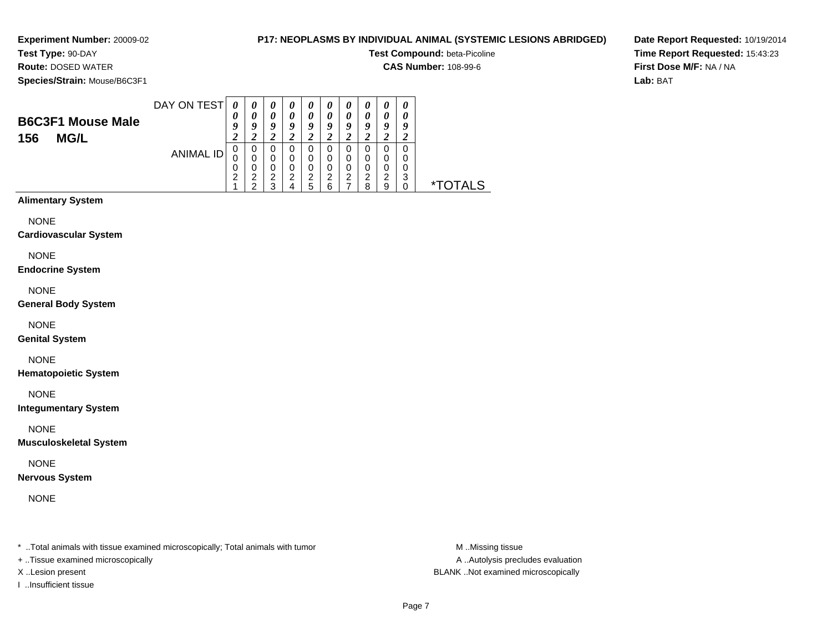# **P17: NEOPLASMS BY INDIVIDUAL ANIMAL (SYSTEMIC LESIONS ABRIDGED)**

**Test Compound:** beta-Picoline

**CAS Number:** 108-99-6

**Species/Strain:** Mouse/B6C3F1

**Route:** DOSED WATER

**Date Report Requested:** 10/19/2014**Time Report Requested:** 15:43:23**First Dose M/F:** NA / NA**Lab:** BAT

| <b>B6C3F1 Mouse Male</b><br><b>MG/L</b><br>156 | DAY ON TEST | 0<br>U           | o | $\boldsymbol{\theta}$<br>0<br>9<br>∠ | U<br>o      | $\boldsymbol{\theta}$<br>0<br>Q<br>∠ | $\boldsymbol{\theta}$<br>0<br>a<br>∠ | $\boldsymbol{\theta}$<br>0<br>9<br>$\overline{ }$ | U<br>o<br>∠      | 0<br>0<br>o<br>∠      | U<br>0<br>9<br>∠ |                 |
|------------------------------------------------|-------------|------------------|---|--------------------------------------|-------------|--------------------------------------|--------------------------------------|---------------------------------------------------|------------------|-----------------------|------------------|-----------------|
|                                                | ANIMAL ID   | υ<br>0<br>ົ<br>∠ | ◠ | U<br>0<br>0<br>2<br>◠                | 0<br>0<br>⌒ | 0<br>0<br>0<br>າ<br>h                | 0<br>⌒<br>6                          | 0<br>0<br>0<br>2                                  | 0<br>0<br>⌒<br>я | 0<br>0<br>0<br>ົ<br>9 | 0<br>O<br>0<br>3 | TAI S<br>$*$ וד |

# **Alimentary System**

NONE

#### **Cardiovascular System**

NONE

## **Endocrine System**

NONE

## **General Body System**

NONE

## **Genital System**

# NONE

**Hematopoietic System**

NONE

## **Integumentary System**

NONE

## **Musculoskeletal System**

NONE

## **Nervous System**

NONE

\* ..Total animals with tissue examined microscopically; Total animals with tumor **M** ..Missing tissue M ..Missing tissue

+ ..Tissue examined microscopically

I ..Insufficient tissue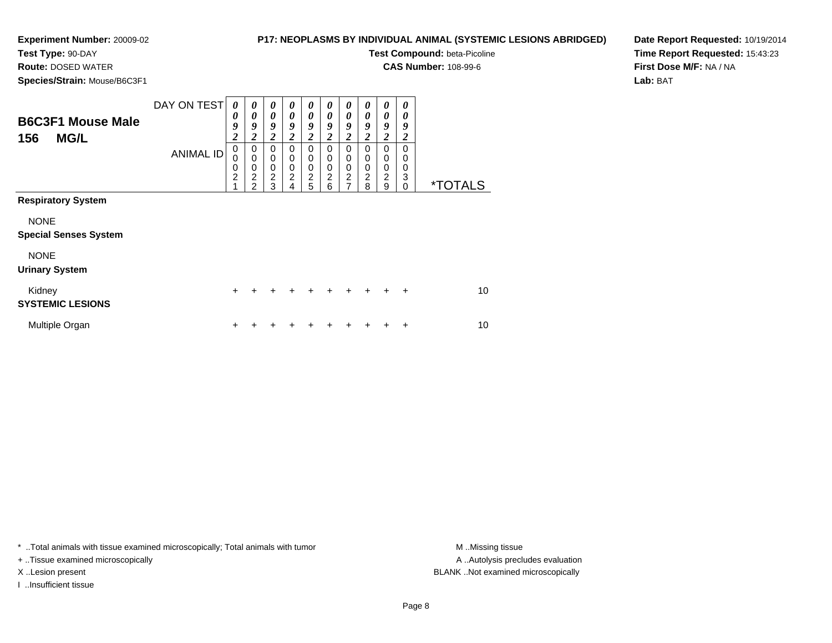**Test Type:** 90-DAY**Route:** DOSED WATER

# **P17: NEOPLASMS BY INDIVIDUAL ANIMAL (SYSTEMIC LESIONS ABRIDGED)**

**Test Compound:** beta-Picoline

**CAS Number:** 108-99-6

**Species/Strain:** Mouse/B6C3F1

**Date Report Requested:** 10/19/2014**Time Report Requested:** 15:43:23**First Dose M/F:** NA / NA**Lab:** BAT

| <b>B6C3F1 Mouse Male</b><br><b>MG/L</b><br>156                                                                   | DAY ON TEST<br><b>ANIMAL ID</b> | 0<br>0<br>9<br>$\overline{\mathbf{c}}$<br>$\mathbf 0$<br>$\mathbf 0$<br>$\mathbf 0$<br>$\overline{c}$<br>$\overline{A}$ | $\boldsymbol{\theta}$<br>0<br>9<br>$\boldsymbol{2}$<br>$\mathbf 0$<br>$\mathbf 0$<br>$\mathbf 0$<br>$\boldsymbol{2}$<br>$\mathfrak{p}$ | 0<br>0<br>9<br>2<br>$\mathbf 0$<br>0<br>$\pmb{0}$<br>2<br>3 | 0<br>0<br>9<br>2<br>$\mathbf 0$<br>0<br>0<br>$\overline{c}$<br>4 | 0<br>0<br>9<br>$\boldsymbol{2}$<br>0<br>0<br>0<br>$\sqrt{2}$<br>5 | 0<br>0<br>9<br>2<br>0<br>$\mathbf 0$<br>0<br>2<br>6 | 0<br>0<br>9<br>2<br>$\mathbf 0$<br>$\mathbf 0$<br>$\mathbf 0$<br>$\boldsymbol{2}$<br>7 | 0<br>0<br>9<br>2<br>$\Omega$<br>0<br>$\mathbf 0$<br>$\overline{2}$<br>8 | 0<br>0<br>9<br>$\overline{\mathbf{c}}$<br>$\mathbf 0$<br>$\mathbf 0$<br>$\mathbf 0$<br>$\overline{c}$<br>9 | 0<br>0<br>9<br>2<br>$\Omega$<br>0<br>0<br>3<br>$\Omega$ | <i><b>*TOTALS</b></i> |
|------------------------------------------------------------------------------------------------------------------|---------------------------------|-------------------------------------------------------------------------------------------------------------------------|----------------------------------------------------------------------------------------------------------------------------------------|-------------------------------------------------------------|------------------------------------------------------------------|-------------------------------------------------------------------|-----------------------------------------------------|----------------------------------------------------------------------------------------|-------------------------------------------------------------------------|------------------------------------------------------------------------------------------------------------|---------------------------------------------------------|-----------------------|
| <b>Respiratory System</b><br><b>NONE</b><br><b>Special Senses System</b><br><b>NONE</b><br><b>Urinary System</b> |                                 |                                                                                                                         |                                                                                                                                        |                                                             |                                                                  |                                                                   |                                                     |                                                                                        |                                                                         |                                                                                                            |                                                         |                       |
| Kidney<br><b>SYSTEMIC LESIONS</b>                                                                                |                                 | $\ddot{}$                                                                                                               |                                                                                                                                        | +                                                           |                                                                  |                                                                   | $\ddot{}$                                           | $\pm$                                                                                  | $+$                                                                     | $\ddot{}$                                                                                                  | $\ddot{}$                                               | 10                    |
| Multiple Organ                                                                                                   |                                 | +                                                                                                                       |                                                                                                                                        |                                                             |                                                                  |                                                                   |                                                     |                                                                                        |                                                                         |                                                                                                            | ÷                                                       | 10                    |

\* ..Total animals with tissue examined microscopically; Total animals with tumor **M** . Missing tissue M ..Missing tissue

+ ..Tissue examined microscopically

I ..Insufficient tissue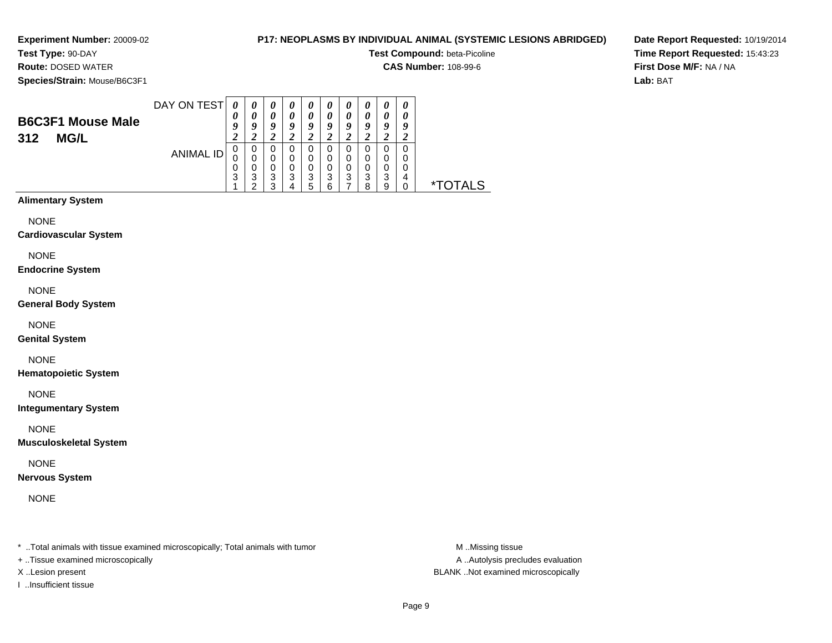# **P17: NEOPLASMS BY INDIVIDUAL ANIMAL (SYSTEMIC LESIONS ABRIDGED)**

**Test Compound:** beta-Picoline

**CAS Number:** 108-99-6

**Species/Strain:** Mouse/B6C3F1

**Route:** DOSED WATER

**Date Report Requested:** 10/19/2014**Time Report Requested:** 15:43:23**First Dose M/F:** NA / NA**Lab:** BAT

| <b>B6C3F1 Mouse Male</b><br>312<br><b>MG/L</b> | DAY ON TEST | $\boldsymbol{\mathit{U}}$ | $\boldsymbol{\theta}$<br>0<br>о | $\boldsymbol{\theta}$<br>$\theta$<br>9<br>∠ | $\boldsymbol{\theta}$<br>O<br>a | $\boldsymbol{\theta}$<br>0<br>9<br>$\epsilon$ | $\boldsymbol{\theta}$<br>o | $\boldsymbol{\theta}$<br>0<br>o<br>$\overline{ }$ | U<br>o<br>∠      | $\boldsymbol{\theta}$<br>0<br>o<br>∠ | Q<br>∠           |         |
|------------------------------------------------|-------------|---------------------------|---------------------------------|---------------------------------------------|---------------------------------|-----------------------------------------------|----------------------------|---------------------------------------------------|------------------|--------------------------------------|------------------|---------|
|                                                | ANIMAL ID   | 0<br>3                    | 0<br>υ<br>?<br>J<br>◠           | 0<br>0<br>0<br>3<br>◠                       | 0<br>0<br>3                     | 0<br>0<br>0<br>3<br>5                         | 0<br>0<br>3<br>ี่ค         | 0<br>0<br>0<br>3                                  | 0<br>0<br>3<br>я | 0<br>0<br>0<br>3<br>9                | 0<br>0<br>0<br>4 | *TOTALS |

# **Alimentary System**

NONE

#### **Cardiovascular System**

NONE

#### **Endocrine System**

NONE

## **General Body System**

NONE

## **Genital System**

NONE

## **Hematopoietic System**

NONE

## **Integumentary System**

NONE

## **Musculoskeletal System**

NONE

## **Nervous System**

NONE

\* ..Total animals with tissue examined microscopically; Total animals with tumor **M** ..Missing tissue M ..Missing tissue

+ ..Tissue examined microscopically

I ..Insufficient tissue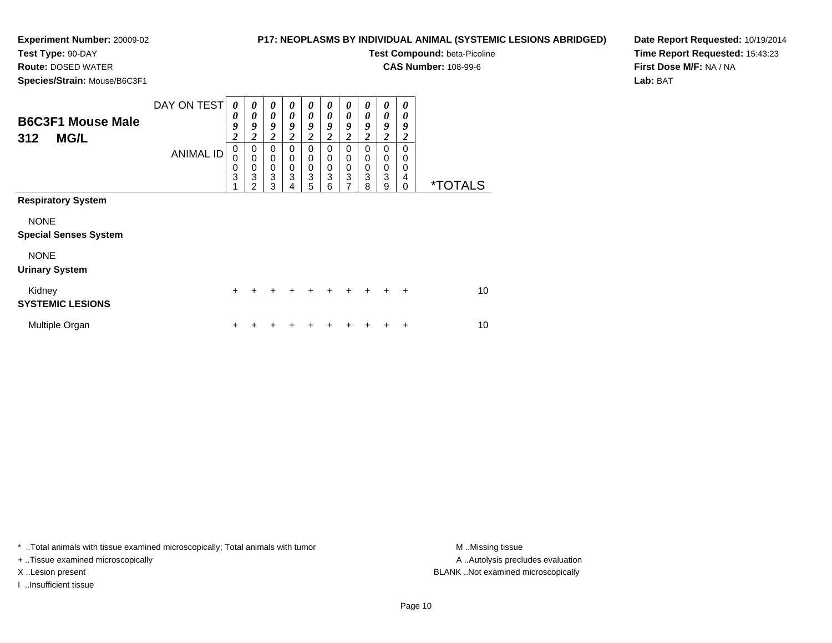**Test Type:** 90-DAY**Route:** DOSED WATER

# **P17: NEOPLASMS BY INDIVIDUAL ANIMAL (SYSTEMIC LESIONS ABRIDGED)**

**Test Compound:** beta-Picoline

**CAS Number:** 108-99-6

**Species/Strain:** Mouse/B6C3F1

**Date Report Requested:** 10/19/2014**Time Report Requested:** 15:43:23**First Dose M/F:** NA / NA**Lab:** BAT

| <b>B6C3F1 Mouse Male</b><br><b>MG/L</b><br>312                                                                   | DAY ON TEST<br><b>ANIMAL ID</b> | $\boldsymbol{\theta}$<br>0<br>9<br>$\overline{\mathbf{c}}$<br>$\boldsymbol{0}$<br>0<br>0<br>3 | 0<br>0<br>9<br>$\boldsymbol{2}$<br>$\pmb{0}$<br>$\mathbf 0$<br>$\pmb{0}$<br>3<br>$\mathfrak{p}$ | 0<br>0<br>9<br>$\overline{\mathbf{2}}$<br>$\Omega$<br>$\mathbf 0$<br>$_3^0$<br>3 | 0<br>0<br>9<br>2<br>$\Omega$<br>0<br>0<br>3<br>4 | 0<br>0<br>9<br>$\boldsymbol{2}$<br>$\Omega$<br>0<br>$\pmb{0}$<br>3<br>5 | 0<br>0<br>9<br>2<br>$\Omega$<br>0<br>0<br>3<br>6 | 0<br>0<br>9<br>$\boldsymbol{2}$<br>0<br>0<br>$\pmb{0}$<br>3<br>$\overline{7}$ | 0<br>0<br>9<br>2<br>$\Omega$<br>$\Omega$<br>0<br>3<br>8 | 0<br>0<br>9<br>2<br>$\Omega$<br>$\mathbf 0$<br>$\pmb{0}$<br>3<br>9 | 0<br>0<br>9<br>2<br>$\Omega$<br>0<br>$\mathbf 0$<br>4<br>$\Omega$ | <i><b>*TOTALS</b></i> |
|------------------------------------------------------------------------------------------------------------------|---------------------------------|-----------------------------------------------------------------------------------------------|-------------------------------------------------------------------------------------------------|----------------------------------------------------------------------------------|--------------------------------------------------|-------------------------------------------------------------------------|--------------------------------------------------|-------------------------------------------------------------------------------|---------------------------------------------------------|--------------------------------------------------------------------|-------------------------------------------------------------------|-----------------------|
| <b>Respiratory System</b><br><b>NONE</b><br><b>Special Senses System</b><br><b>NONE</b><br><b>Urinary System</b> |                                 |                                                                                               |                                                                                                 |                                                                                  |                                                  |                                                                         |                                                  |                                                                               |                                                         |                                                                    |                                                                   |                       |
| Kidney<br><b>SYSTEMIC LESIONS</b>                                                                                |                                 | $\ddot{}$                                                                                     | +                                                                                               |                                                                                  |                                                  |                                                                         |                                                  | +                                                                             | $\ddot{}$                                               | $\ddot{}$                                                          | $+$                                                               | 10                    |
| Multiple Organ                                                                                                   |                                 | +                                                                                             |                                                                                                 |                                                                                  |                                                  |                                                                         |                                                  |                                                                               |                                                         |                                                                    | ÷                                                                 | 10                    |

\* ..Total animals with tissue examined microscopically; Total animals with tumor **M** . Missing tissue M ..Missing tissue

+ ..Tissue examined microscopically

I ..Insufficient tissue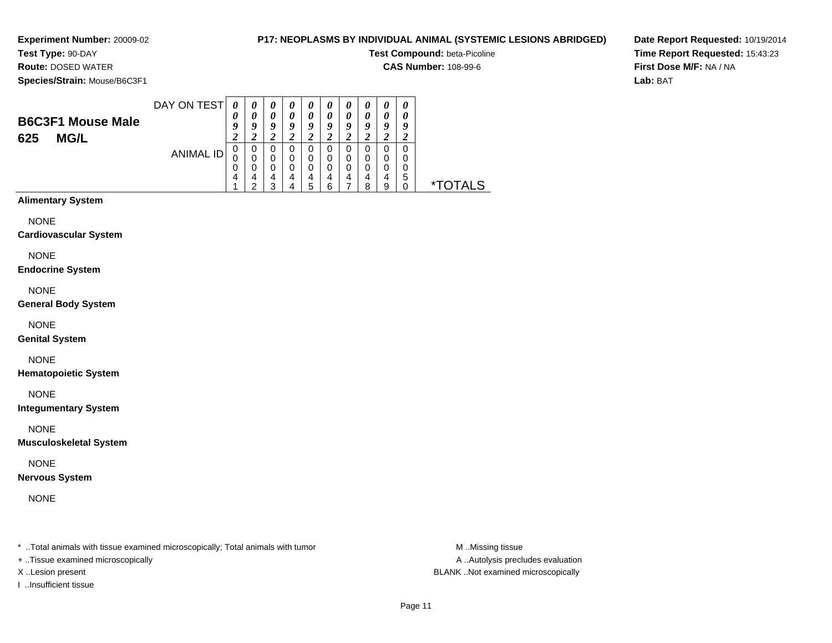# **P17: NEOPLASMS BY INDIVIDUAL ANIMAL (SYSTEMIC LESIONS ABRIDGED)**

**Test Compound:** beta-Picoline

**CAS Number:** 108-99-6

**Species/Strain:** Mouse/B6C3F1

**Route:** DOSED WATER

**Date Report Requested:** 10/19/2014**Time Report Requested:** 15:43:23**First Dose M/F:** NA / NA**Lab:** BAT

| <b>B6C3F1 Mouse Male</b><br><b>MG/L</b><br>625 | DAY ON TEST | $\boldsymbol{\mathit{U}}$ | $\boldsymbol{\theta}$<br>$\boldsymbol{\theta}$<br>о | $\boldsymbol{\theta}$<br>$\theta$<br>9 | $\boldsymbol{\theta}$<br>O<br>o | $\boldsymbol{\theta}$<br>0<br>Q | $\boldsymbol{\theta}$<br>o | $\boldsymbol{\theta}$<br>0<br>0 | U<br>$\boldsymbol{\theta}$<br>Q | U<br>0<br>u<br>∠      | $\boldsymbol{\theta}$<br>Q |            |
|------------------------------------------------|-------------|---------------------------|-----------------------------------------------------|----------------------------------------|---------------------------------|---------------------------------|----------------------------|---------------------------------|---------------------------------|-----------------------|----------------------------|------------|
|                                                | ANIMAL ID   | υ                         | 0<br>Δ<br>c                                         | 0<br>0<br>$\Omega$<br>4<br>◠           | 0<br>0<br>4                     | 0<br>0<br>0<br>4<br>5           | 0<br>0<br>4<br>⌒           | O<br>0<br>0<br>4                | 0<br>0<br>я                     | 0<br>0<br>0<br>4<br>9 | 0<br>0<br>0<br>5           | AI S<br>×. |

# **Alimentary System**

NONE

#### **Cardiovascular System**

NONE

#### **Endocrine System**

NONE

## **General Body System**

NONE

## **Genital System**

NONE

## **Hematopoietic System**

NONE

## **Integumentary System**

NONE

## **Musculoskeletal System**

NONE

## **Nervous System**

NONE

\* ..Total animals with tissue examined microscopically; Total animals with tumor **M** ..Missing tissue M ..Missing tissue

+ ..Tissue examined microscopically

I ..Insufficient tissue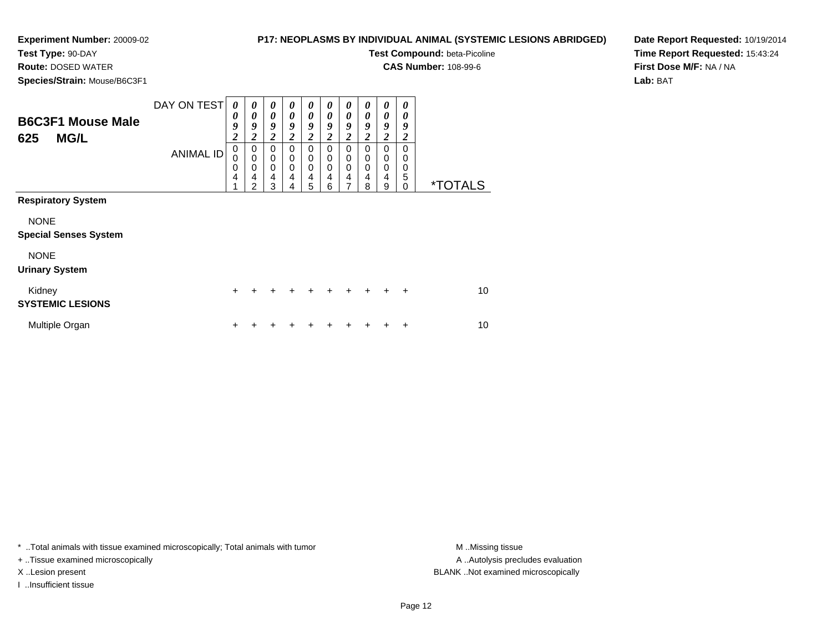# **P17: NEOPLASMS BY INDIVIDUAL ANIMAL (SYSTEMIC LESIONS ABRIDGED)**

**Test Type:** 90-DAY

**Route:** DOSED WATER

**Species/Strain:** Mouse/B6C3F1

**Test Compound:** beta-Picoline

**CAS Number:** 108-99-6

**Date Report Requested:** 10/19/2014**Time Report Requested:** 15:43:24**First Dose M/F:** NA / NA**Lab:** BAT

| <b>B6C3F1 Mouse Male</b><br><b>MG/L</b><br>625 | DAY ON TEST      | 0<br>0<br>9<br>$\overline{\mathbf{c}}$ | $\boldsymbol{\theta}$<br>0<br>9<br>$\boldsymbol{2}$              | 0<br>0<br>9<br>$\overline{\mathbf{c}}$ | 0<br>0<br>9<br>$\overline{\mathbf{c}}$ | 0<br>0<br>9<br>$\overline{\mathbf{c}}$ | 0<br>0<br>9<br>2      | 0<br>0<br>9<br>$\overline{\mathbf{c}}$ | 0<br>0<br>9<br>$\overline{c}$ | 0<br>0<br>9<br>$\boldsymbol{2}$ | 0<br>0<br>9<br>2             |                       |
|------------------------------------------------|------------------|----------------------------------------|------------------------------------------------------------------|----------------------------------------|----------------------------------------|----------------------------------------|-----------------------|----------------------------------------|-------------------------------|---------------------------------|------------------------------|-----------------------|
|                                                | <b>ANIMAL ID</b> | $\mathbf 0$<br>0<br>0<br>4<br>1        | $\mathbf 0$<br>$\mathbf 0$<br>$\mathbf 0$<br>4<br>$\mathfrak{p}$ | 0<br>0<br>0<br>4<br>3                  | 0<br>0<br>0<br>4<br>4                  | $\mathbf 0$<br>0<br>0<br>4<br>5        | 0<br>0<br>0<br>4<br>6 | 0<br>$\boldsymbol{0}$<br>0<br>4<br>7   | 0<br>0<br>0<br>4<br>8         | 0<br>0<br>0<br>4<br>9           | $\Omega$<br>0<br>0<br>5<br>0 | <i><b>*TOTALS</b></i> |
| <b>Respiratory System</b>                      |                  |                                        |                                                                  |                                        |                                        |                                        |                       |                                        |                               |                                 |                              |                       |
| <b>NONE</b><br><b>Special Senses System</b>    |                  |                                        |                                                                  |                                        |                                        |                                        |                       |                                        |                               |                                 |                              |                       |
| <b>NONE</b><br><b>Urinary System</b>           |                  |                                        |                                                                  |                                        |                                        |                                        |                       |                                        |                               |                                 |                              |                       |
| Kidney<br><b>SYSTEMIC LESIONS</b>              |                  | $\pm$                                  |                                                                  | ÷                                      | +                                      | ÷                                      | +                     | +                                      |                               |                                 | ÷                            | 10                    |
| Multiple Organ                                 |                  | +                                      |                                                                  |                                        |                                        |                                        |                       |                                        |                               |                                 | ٠                            | 10                    |

\* ..Total animals with tissue examined microscopically; Total animals with tumor **M** . Missing tissue M ..Missing tissue

+ ..Tissue examined microscopically

I ..Insufficient tissue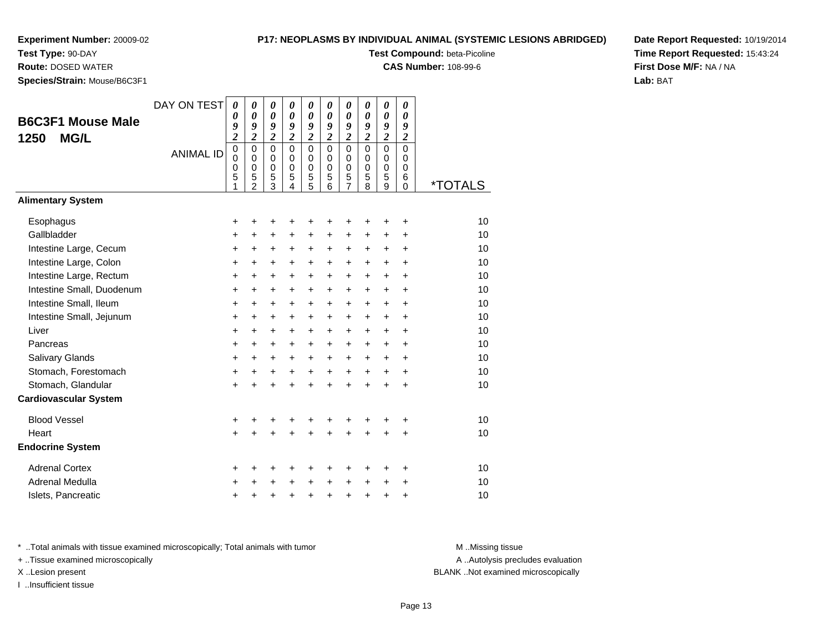**Test Type:** 90-DAY**Route:** DOSED WATER

# **P17: NEOPLASMS BY INDIVIDUAL ANIMAL (SYSTEMIC LESIONS ABRIDGED)**

**Test Compound:** beta-Picoline

**CAS Number:** 108-99-6

**Date Report Requested:** 10/19/2014**Time Report Requested:** 15:43:24**First Dose M/F:** NA / NA**Lab:** BAT

**Species/Strain:** Mouse/B6C3F1

| ορεςιερισιαιπ. ινιυμος/ρυσσι τ                  |                  |                                                   |                                                   |                                                                                |                                                            |                                                            |                                                            |                                                   |                                                   |                                                   |                                                            |         |
|-------------------------------------------------|------------------|---------------------------------------------------|---------------------------------------------------|--------------------------------------------------------------------------------|------------------------------------------------------------|------------------------------------------------------------|------------------------------------------------------------|---------------------------------------------------|---------------------------------------------------|---------------------------------------------------|------------------------------------------------------------|---------|
| <b>B6C3F1 Mouse Male</b><br><b>MG/L</b><br>1250 | DAY ON TEST      | $\boldsymbol{\theta}$<br>0<br>9<br>$\overline{c}$ | 0<br>$\boldsymbol{\theta}$<br>9<br>$\overline{2}$ | $\boldsymbol{\theta}$<br>$\boldsymbol{\theta}$<br>9<br>$\overline{\mathbf{c}}$ | 0<br>$\boldsymbol{\theta}$<br>9<br>$\overline{\mathbf{c}}$ | 0<br>$\boldsymbol{\theta}$<br>9<br>$\overline{\mathbf{c}}$ | 0<br>$\boldsymbol{\theta}$<br>9<br>$\overline{\mathbf{c}}$ | 0<br>$\boldsymbol{\theta}$<br>9<br>$\overline{c}$ | 0<br>$\boldsymbol{\theta}$<br>9<br>$\overline{2}$ | 0<br>$\boldsymbol{\theta}$<br>9<br>$\overline{2}$ | 0<br>$\boldsymbol{\theta}$<br>9<br>$\overline{\mathbf{c}}$ |         |
|                                                 | <b>ANIMAL ID</b> | $\mathbf 0$<br>$\mathbf 0$<br>0<br>5<br>1         | $\Omega$<br>0<br>0<br>5<br>$\overline{2}$         | $\mathbf 0$<br>0<br>$\mathbf 0$<br>5<br>3                                      | $\Omega$<br>0<br>$\mathbf 0$<br>5<br>4                     | $\mathbf 0$<br>0<br>$\pmb{0}$<br>5<br>5                    | $\Omega$<br>$\Omega$<br>0<br>5<br>6                        | $\Omega$<br>0<br>0<br>5<br>$\overline{7}$         | $\Omega$<br>$\Omega$<br>0<br>5<br>8               | $\mathbf 0$<br>0<br>$\mathbf 0$<br>5<br>9         | $\mathbf 0$<br>0<br>0<br>6<br>0                            | *TOTALS |
| <b>Alimentary System</b>                        |                  |                                                   |                                                   |                                                                                |                                                            |                                                            |                                                            |                                                   |                                                   |                                                   |                                                            |         |
| Esophagus                                       |                  | +                                                 | +                                                 | +                                                                              |                                                            | +                                                          | +                                                          | +                                                 | +                                                 | ٠                                                 | +                                                          | 10      |
| Gallbladder                                     |                  | +                                                 | +                                                 | $\ddot{}$                                                                      | $\ddot{}$                                                  | $\ddot{}$                                                  | $\ddot{}$                                                  | $\ddot{}$                                         | $\ddot{}$                                         | +                                                 | +                                                          | 10      |
| Intestine Large, Cecum                          |                  | +                                                 | +                                                 | +                                                                              | +                                                          | $\ddot{}$                                                  | $\ddot{}$                                                  | +                                                 | +                                                 | +                                                 | +                                                          | 10      |
| Intestine Large, Colon                          |                  | +                                                 | +                                                 | +                                                                              | +                                                          | $\ddot{}$                                                  | $\ddot{}$                                                  | +                                                 | +                                                 | $\ddot{}$                                         | $\ddot{}$                                                  | 10      |
| Intestine Large, Rectum                         |                  | +                                                 | $\ddot{}$                                         | $\ddot{}$                                                                      | $\ddot{}$                                                  | $\ddot{}$                                                  | $\ddot{}$                                                  | +                                                 | $\ddot{}$                                         | +                                                 | +                                                          | 10      |
| Intestine Small, Duodenum                       |                  | $\ddot{}$                                         | $\ddot{}$                                         | $\ddot{}$                                                                      | $\ddot{}$                                                  | $\ddot{}$                                                  | $\ddot{}$                                                  | +                                                 | $\ddot{}$                                         | $\ddot{}$                                         | $\ddot{}$                                                  | 10      |
| Intestine Small, Ileum                          |                  | +                                                 | +                                                 | +                                                                              | $\ddot{}$                                                  | +                                                          | +                                                          | +                                                 | +                                                 | $\ddot{}$                                         | +                                                          | 10      |
| Intestine Small, Jejunum                        |                  | +                                                 | $\ddot{}$                                         | $\ddot{}$                                                                      | $\ddot{}$                                                  | +                                                          | $\ddot{}$                                                  | +                                                 | $\ddot{}$                                         | $\ddot{}$                                         | $\ddot{}$                                                  | 10      |
| Liver                                           |                  | $\ddot{}$                                         | +                                                 | +                                                                              | $\ddot{}$                                                  | $\ddot{}$                                                  | $\ddot{}$                                                  | $\ddot{}$                                         | $\ddot{}$                                         | $\ddot{}$                                         | $\ddot{}$                                                  | 10      |
| Pancreas                                        |                  | $\ddot{}$                                         | +                                                 | $\ddot{}$                                                                      | $\ddot{}$                                                  | $\ddot{}$                                                  | $\ddot{}$                                                  | $\ddot{}$                                         | $\ddot{}$                                         | $\ddot{}$                                         | $\ddot{}$                                                  | 10      |
| Salivary Glands                                 |                  | $\ddot{}$                                         | +                                                 | $\ddot{}$                                                                      | $\ddot{}$                                                  | $\ddot{}$                                                  | $\ddot{}$                                                  | $\ddot{}$                                         | $\ddot{}$                                         | $\ddot{}$                                         | $\ddot{}$                                                  | 10      |
| Stomach, Forestomach                            |                  | $\ddot{}$                                         | +                                                 | +                                                                              | +                                                          | $\ddot{}$                                                  | $\ddot{}$                                                  | $\ddot{}$                                         | $\ddot{}$                                         | +                                                 | $\ddot{}$                                                  | 10      |
| Stomach, Glandular                              |                  | $\ddot{}$                                         | $\ddot{}$                                         | $\ddot{}$                                                                      | $\ddot{}$                                                  | $\ddot{}$                                                  | $\ddot{}$                                                  | $\ddot{}$                                         | $\ddot{}$                                         | $\ddot{}$                                         | $\ddot{}$                                                  | 10      |
| <b>Cardiovascular System</b>                    |                  |                                                   |                                                   |                                                                                |                                                            |                                                            |                                                            |                                                   |                                                   |                                                   |                                                            |         |
| <b>Blood Vessel</b>                             |                  | +                                                 | +                                                 | +                                                                              |                                                            | +                                                          | +                                                          | +                                                 |                                                   |                                                   | +                                                          | 10      |
| Heart                                           |                  | $\ddot{}$                                         | $\ddot{}$                                         | $\ddot{}$                                                                      | $\ddot{}$                                                  | $\ddot{}$                                                  | $\ddot{}$                                                  | $\ddot{}$                                         | $\ddot{}$                                         | $\ddot{}$                                         | $\ddot{}$                                                  | 10      |
| <b>Endocrine System</b>                         |                  |                                                   |                                                   |                                                                                |                                                            |                                                            |                                                            |                                                   |                                                   |                                                   |                                                            |         |
| <b>Adrenal Cortex</b>                           |                  | +                                                 | +                                                 | +                                                                              | +                                                          | +                                                          | +                                                          | +                                                 | ٠                                                 | ٠                                                 | +                                                          | 10      |
| Adrenal Medulla                                 |                  | +                                                 |                                                   | +                                                                              |                                                            | $\ddot{}$                                                  | $\ddot{}$                                                  | +                                                 | $\ddot{}$                                         | +                                                 | +                                                          | 10      |
| Islets, Pancreatic                              |                  | +                                                 | +                                                 | +                                                                              | +                                                          | +                                                          | $\ddot{}$                                                  | +                                                 | +                                                 | +                                                 | +                                                          | 10      |

\* ..Total animals with tissue examined microscopically; Total animals with tumor **M** . Missing tissue M ..Missing tissue

+ ..Tissue examined microscopically

I ..Insufficient tissue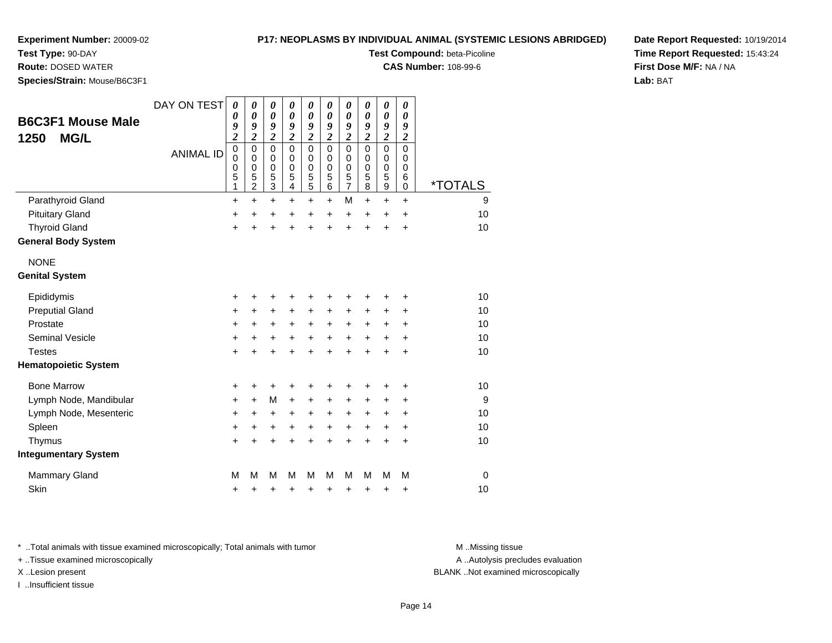**Test Type:** 90-DAY

**Route:** DOSED WATER

**Species/Strain:** Mouse/B6C3F1

## **P17: NEOPLASMS BY INDIVIDUAL ANIMAL (SYSTEMIC LESIONS ABRIDGED)**

**Test Compound:** beta-Picoline

**CAS Number:** 108-99-6

**Date Report Requested:** 10/19/2014**Time Report Requested:** 15:43:24**First Dose M/F:** NA / NA**Lab:** BAT

| <b>B6C3F1 Mouse Male</b><br><b>MG/L</b><br>1250 | DAY ON TEST      | $\boldsymbol{\theta}$<br>$\boldsymbol{\theta}$<br>9<br>$\overline{\mathbf{c}}$ | 0<br>$\boldsymbol{\theta}$<br>9<br>$\overline{\mathbf{c}}$ | 0<br>$\boldsymbol{\theta}$<br>9<br>$\overline{\mathbf{c}}$     | 0<br>$\boldsymbol{\theta}$<br>9<br>$\overline{\mathbf{c}}$ | 0<br>$\boldsymbol{\theta}$<br>9<br>$\overline{\mathbf{c}}$ | 0<br>0<br>9<br>$\overline{\mathbf{c}}$ | 0<br>0<br>9<br>$\overline{\mathbf{c}}$       | 0<br>$\boldsymbol{\theta}$<br>9<br>$\boldsymbol{2}$ | $\boldsymbol{\theta}$<br>$\boldsymbol{\theta}$<br>9<br>$\boldsymbol{2}$ | 0<br>0<br>9<br>$\overline{c}$             |                       |
|-------------------------------------------------|------------------|--------------------------------------------------------------------------------|------------------------------------------------------------|----------------------------------------------------------------|------------------------------------------------------------|------------------------------------------------------------|----------------------------------------|----------------------------------------------|-----------------------------------------------------|-------------------------------------------------------------------------|-------------------------------------------|-----------------------|
|                                                 | <b>ANIMAL ID</b> | $\mathbf 0$<br>$\mathbf 0$<br>0<br>5<br>1                                      | $\mathbf 0$<br>0<br>0<br>5<br>2                            | $\mathbf 0$<br>$\mathbf 0$<br>$\mathbf 0$<br>5<br>$\mathbf{3}$ | $\Omega$<br>$\mathbf 0$<br>$\mathbf 0$<br>5<br>4           | $\mathbf 0$<br>0<br>0<br>$\overline{5}$<br>$\overline{5}$  | $\Omega$<br>0<br>0<br>5<br>6           | $\mathbf 0$<br>0<br>0<br>5<br>$\overline{7}$ | $\Omega$<br>$\Omega$<br>0<br>5<br>8                 | $\mathbf 0$<br>0<br>0<br>5<br>$\boldsymbol{9}$                          | $\mathbf 0$<br>0<br>0<br>6<br>$\mathbf 0$ | <i><b>*TOTALS</b></i> |
| Parathyroid Gland                               |                  | $\ddot{}$                                                                      | $\ddot{}$                                                  | +                                                              | $\ddot{}$                                                  | +                                                          | $\ddot{}$                              | M                                            | $\ddot{}$                                           | $\ddot{}$                                                               | $\ddot{}$                                 | 9                     |
| <b>Pituitary Gland</b>                          |                  | $\ddot{}$                                                                      | $\ddot{}$                                                  | +                                                              | $\ddot{}$                                                  | +                                                          | $\ddot{}$                              | +                                            | $\ddot{}$                                           | +                                                                       | $\ddot{}$                                 | 10                    |
| <b>Thyroid Gland</b>                            |                  | $\ddot{}$                                                                      | +                                                          | $\ddot{}$                                                      | +                                                          | $\ddot{}$                                                  | $\ddot{}$                              | $\ddot{}$                                    | +                                                   | +                                                                       | $\pm$                                     | 10                    |
| <b>General Body System</b>                      |                  |                                                                                |                                                            |                                                                |                                                            |                                                            |                                        |                                              |                                                     |                                                                         |                                           |                       |
| <b>NONE</b>                                     |                  |                                                                                |                                                            |                                                                |                                                            |                                                            |                                        |                                              |                                                     |                                                                         |                                           |                       |
| <b>Genital System</b>                           |                  |                                                                                |                                                            |                                                                |                                                            |                                                            |                                        |                                              |                                                     |                                                                         |                                           |                       |
| Epididymis                                      |                  | +                                                                              | +                                                          | +                                                              | +                                                          | +                                                          | +                                      | +                                            | +                                                   | +                                                                       | +                                         | 10                    |
| <b>Preputial Gland</b>                          |                  | $\ddot{}$                                                                      | +                                                          | $\ddot{}$                                                      | +                                                          | +                                                          | +                                      | +                                            | +                                                   | +                                                                       | +                                         | 10                    |
| Prostate                                        |                  | $\ddot{}$                                                                      | $\ddot{}$                                                  | $\ddot{}$                                                      | $\ddot{}$                                                  | $\ddot{}$                                                  | $\ddot{}$                              | $\ddot{}$                                    | $\ddot{}$                                           | +                                                                       | $\pm$                                     | 10                    |
| <b>Seminal Vesicle</b>                          |                  | +                                                                              | +                                                          | +                                                              | $\ddot{}$                                                  | $\ddot{}$                                                  | $\ddot{}$                              | $\ddot{}$                                    | $\ddot{}$                                           | $\ddot{}$                                                               | +                                         | 10                    |
| <b>Testes</b>                                   |                  | $\ddot{}$                                                                      | $\ddot{}$                                                  | $\ddot{}$                                                      | $\ddot{}$                                                  | $\ddot{}$                                                  | $\ddot{}$                              | $\ddot{}$                                    | $\ddot{}$                                           | $\ddot{}$                                                               | $\ddot{}$                                 | 10                    |
| <b>Hematopoietic System</b>                     |                  |                                                                                |                                                            |                                                                |                                                            |                                                            |                                        |                                              |                                                     |                                                                         |                                           |                       |
| <b>Bone Marrow</b>                              |                  | +                                                                              | +                                                          | +                                                              |                                                            | +                                                          | +                                      | +                                            | +                                                   | +                                                                       | +                                         | 10                    |
| Lymph Node, Mandibular                          |                  | +                                                                              | +                                                          | M                                                              | $\ddot{}$                                                  | +                                                          | +                                      | +                                            | $\ddot{}$                                           | +                                                                       | +                                         | 9                     |
| Lymph Node, Mesenteric                          |                  | +                                                                              | +                                                          | $\ddot{}$                                                      | +                                                          | +                                                          | +                                      | +                                            | +                                                   | +                                                                       | +                                         | 10                    |
| Spleen                                          |                  | $\ddot{}$                                                                      | +                                                          | +                                                              | +                                                          | +                                                          | $\ddot{}$                              | $\ddot{}$                                    | $\ddot{}$                                           | $\ddot{}$                                                               | +                                         | 10                    |
| Thymus                                          |                  | $\ddot{}$                                                                      |                                                            | +                                                              | +                                                          | +                                                          | $\ddot{}$                              | $\ddot{}$                                    | $\ddot{}$                                           | $\ddot{}$                                                               | +                                         | 10                    |
| <b>Integumentary System</b>                     |                  |                                                                                |                                                            |                                                                |                                                            |                                                            |                                        |                                              |                                                     |                                                                         |                                           |                       |
| <b>Mammary Gland</b>                            |                  | M                                                                              | М                                                          | M                                                              | М                                                          | M                                                          | М                                      | M                                            | м                                                   | M                                                                       | M                                         | $\mathbf 0$           |
| Skin                                            |                  | +                                                                              | +                                                          | +                                                              | +                                                          | +                                                          | +                                      | +                                            | +                                                   | +                                                                       | +                                         | 10                    |

\* ..Total animals with tissue examined microscopically; Total animals with tumor **M** . Missing tissue M ..Missing tissue

+ ..Tissue examined microscopically

I ..Insufficient tissue

A ..Autolysis precludes evaluation

X ..Lesion present BLANK ..Not examined microscopically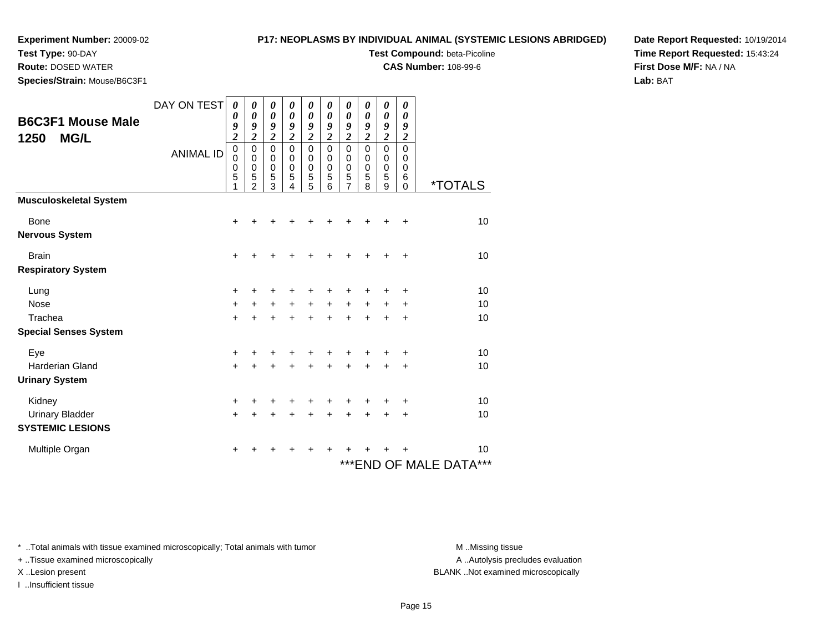**Test Type:** 90-DAY

**Route:** DOSED WATER

**Species/Strain:** Mouse/B6C3F1

## **P17: NEOPLASMS BY INDIVIDUAL ANIMAL (SYSTEMIC LESIONS ABRIDGED)**

**Test Compound:** beta-Picoline

**CAS Number:** 108-99-6

**Date Report Requested:** 10/19/2014**Time Report Requested:** 15:43:24**First Dose M/F:** NA / NA**Lab:** BAT

| <b>B6C3F1 Mouse Male</b><br><b>MG/L</b><br>1250                | DAY ON TEST<br><b>ANIMAL ID</b> | 0<br>$\boldsymbol{\theta}$<br>9<br>$\overline{\mathbf{c}}$<br>$\mathbf 0$<br>$\pmb{0}$<br>$\mathbf 0$<br>5<br>1 | 0<br>0<br>9<br>$\overline{2}$<br>$\pmb{0}$<br>$\pmb{0}$<br>$\mathbf 0$<br>5<br>$\overline{2}$ | 0<br>0<br>9<br>$\overline{2}$<br>$\mathsf 0$<br>0<br>0<br>5<br>3 | 0<br>0<br>9<br>$\overline{c}$<br>0<br>0<br>0<br>5<br>4 | 0<br>0<br>9<br>$\overline{\mathbf{c}}$<br>$\mathbf 0$<br>0<br>0<br>5<br>5 | 0<br>0<br>9<br>$\overline{\mathbf{c}}$<br>$\mathbf 0$<br>$\pmb{0}$<br>0<br>5<br>6 | 0<br>0<br>9<br>$\overline{\mathbf{c}}$<br>$\mathsf 0$<br>0<br>0<br>5<br>7 | 0<br>0<br>9<br>$\overline{2}$<br>$\mathbf 0$<br>$\mathbf 0$<br>0<br>5<br>8 | 0<br>0<br>9<br>$\overline{2}$<br>$\mathbf 0$<br>$\mathbf 0$<br>$\mathbf 0$<br>5<br>9 | 0<br>0<br>9<br>$\boldsymbol{2}$<br>$\mathbf 0$<br>0<br>0<br>6<br>0 | *TOTALS                            |
|----------------------------------------------------------------|---------------------------------|-----------------------------------------------------------------------------------------------------------------|-----------------------------------------------------------------------------------------------|------------------------------------------------------------------|--------------------------------------------------------|---------------------------------------------------------------------------|-----------------------------------------------------------------------------------|---------------------------------------------------------------------------|----------------------------------------------------------------------------|--------------------------------------------------------------------------------------|--------------------------------------------------------------------|------------------------------------|
| <b>Musculoskeletal System</b><br>Bone<br><b>Nervous System</b> |                                 | $\ddot{}$                                                                                                       |                                                                                               |                                                                  |                                                        |                                                                           |                                                                                   |                                                                           |                                                                            |                                                                                      | ٠                                                                  | 10                                 |
| <b>Brain</b><br><b>Respiratory System</b>                      |                                 | $\ddot{}$                                                                                                       | +                                                                                             | ٠                                                                | +                                                      | +                                                                         | +                                                                                 | +                                                                         | $\div$                                                                     | +                                                                                    | $\ddot{}$                                                          | 10                                 |
| Lung<br>Nose<br>Trachea<br><b>Special Senses System</b>        |                                 | +<br>$\ddot{}$<br>$+$                                                                                           | $\ddot{}$<br>+                                                                                | +<br>$\ddot{}$<br>$\div$                                         | $+$<br>÷                                               | +<br>$+$<br>$\ddot{}$                                                     | $\ddot{}$<br>$\ddot{}$                                                            | $\ddot{}$<br>$\ddot{}$                                                    | $\ddot{}$<br>$\div$                                                        | $+$<br>$\div$                                                                        | +<br>$\ddot{}$<br>$\ddot{}$                                        | 10<br>10<br>10                     |
| Eye<br><b>Harderian Gland</b><br><b>Urinary System</b>         |                                 | $\ddot{}$<br>$\ddot{}$                                                                                          | $\div$                                                                                        | +<br>+                                                           | ÷                                                      | +<br>+                                                                    | $\ddot{}$                                                                         | $\ddot{}$                                                                 | $\ddot{}$                                                                  | $\ddot{}$                                                                            | +<br>+                                                             | 10<br>10                           |
| Kidney<br><b>Urinary Bladder</b><br><b>SYSTEMIC LESIONS</b>    |                                 | +<br>$\ddot{}$                                                                                                  | +                                                                                             | +<br>+                                                           | +<br>+                                                 | +<br>$\ddot{}$                                                            | +<br>$\ddot{}$                                                                    | +<br>$\ddot{}$                                                            | +<br>÷                                                                     | +<br>+                                                                               | +<br>+                                                             | 10<br>10                           |
| Multiple Organ                                                 |                                 | +                                                                                                               |                                                                                               |                                                                  |                                                        |                                                                           |                                                                                   |                                                                           |                                                                            |                                                                                      | ٠                                                                  | 10<br>$***$<br>***END OF MALE DATA |

\* ..Total animals with tissue examined microscopically; Total animals with tumor **M** . Missing tissue M ..Missing tissue

+ ..Tissue examined microscopically

I ..Insufficient tissue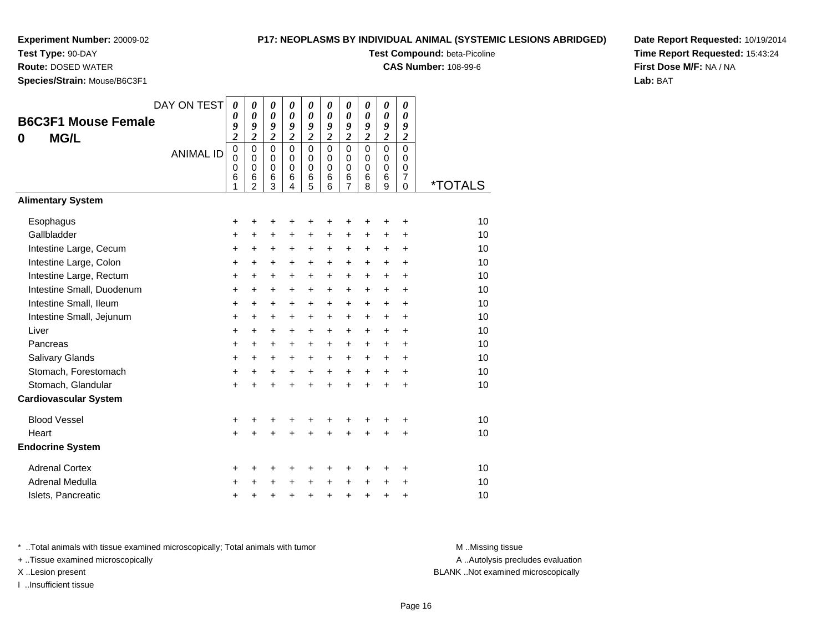**Test Type:** 90-DAY

**Route:** DOSED WATER

**Species/Strain:** Mouse/B6C3F1

## **P17: NEOPLASMS BY INDIVIDUAL ANIMAL (SYSTEMIC LESIONS ABRIDGED)**

**Test Compound:** beta-Picoline

**CAS Number:** 108-99-6

**Date Report Requested:** 10/19/2014**Time Report Requested:** 15:43:24**First Dose M/F:** NA / NA**Lab:** BAT

| <b>B6C3F1 Mouse Female</b><br><b>MG/L</b><br>0 | DAY ON TEST<br><b>ANIMAL ID</b> | $\boldsymbol{\theta}$<br>0<br>9<br>$\overline{\mathbf{c}}$<br>$\mathbf 0$<br>$\mathbf 0$<br>0<br>6<br>1 | 0<br>$\boldsymbol{\theta}$<br>9<br>$\overline{\mathbf{c}}$<br>$\mathbf 0$<br>$\mathbf 0$<br>0<br>6<br>$\overline{2}$ | 0<br>$\boldsymbol{\theta}$<br>9<br>$\overline{2}$<br>$\mathbf 0$<br>$\mathbf 0$<br>0<br>6<br>3 | $\boldsymbol{\theta}$<br>$\boldsymbol{\theta}$<br>9<br>$\overline{2}$<br>$\mathbf 0$<br>$\mathbf 0$<br>0<br>6<br>4 | 0<br>$\boldsymbol{\theta}$<br>9<br>$\overline{c}$<br>$\mathbf 0$<br>$\mathbf 0$<br>0<br>6<br>5 | 0<br>$\boldsymbol{\theta}$<br>9<br>$\overline{\mathbf{c}}$<br>$\mathbf 0$<br>$\mathbf 0$<br>$\mathbf 0$<br>6<br>6 | 0<br>$\boldsymbol{\theta}$<br>9<br>$\overline{2}$<br>$\mathbf 0$<br>$\mathbf 0$<br>0<br>6<br>$\overline{7}$ | 0<br>0<br>9<br>$\overline{\mathbf{c}}$<br>$\Omega$<br>$\mathbf 0$<br>0<br>6<br>8 | 0<br>$\boldsymbol{\theta}$<br>9<br>$\overline{c}$<br>$\mathbf 0$<br>$\mathbf 0$<br>$\pmb{0}$<br>6<br>$\overline{9}$ | 0<br>$\boldsymbol{\theta}$<br>9<br>$\overline{2}$<br>$\mathbf 0$<br>$\mathbf 0$<br>0<br>$\overline{7}$<br>$\overline{0}$ | <i><b>*TOTALS</b></i> |
|------------------------------------------------|---------------------------------|---------------------------------------------------------------------------------------------------------|----------------------------------------------------------------------------------------------------------------------|------------------------------------------------------------------------------------------------|--------------------------------------------------------------------------------------------------------------------|------------------------------------------------------------------------------------------------|-------------------------------------------------------------------------------------------------------------------|-------------------------------------------------------------------------------------------------------------|----------------------------------------------------------------------------------|---------------------------------------------------------------------------------------------------------------------|--------------------------------------------------------------------------------------------------------------------------|-----------------------|
| <b>Alimentary System</b>                       |                                 |                                                                                                         |                                                                                                                      |                                                                                                |                                                                                                                    |                                                                                                |                                                                                                                   |                                                                                                             |                                                                                  |                                                                                                                     |                                                                                                                          |                       |
| Esophagus                                      |                                 | +                                                                                                       | +                                                                                                                    | +                                                                                              | +                                                                                                                  | +                                                                                              | +                                                                                                                 | +                                                                                                           | +                                                                                | +                                                                                                                   | +                                                                                                                        | 10                    |
| Gallbladder                                    |                                 | +                                                                                                       | +                                                                                                                    | $\ddot{}$                                                                                      | +                                                                                                                  | +                                                                                              | +                                                                                                                 | +                                                                                                           | +                                                                                | +                                                                                                                   | $\ddot{}$                                                                                                                | 10                    |
| Intestine Large, Cecum                         |                                 | $\ddot{}$                                                                                               | +                                                                                                                    | $\ddot{}$                                                                                      | $\ddot{}$                                                                                                          | $\ddot{}$                                                                                      | +                                                                                                                 | $\ddot{}$                                                                                                   | $\ddot{}$                                                                        | $\ddot{}$                                                                                                           | $\ddot{}$                                                                                                                | 10                    |
| Intestine Large, Colon                         |                                 | $\ddot{}$                                                                                               | $\ddot{}$                                                                                                            | $\ddot{}$                                                                                      | $\ddot{}$                                                                                                          | $\ddot{}$                                                                                      | $\ddot{}$                                                                                                         | $\ddot{}$                                                                                                   | $\ddot{}$                                                                        | $\ddot{}$                                                                                                           | $\ddot{}$                                                                                                                | 10                    |
| Intestine Large, Rectum                        |                                 | +                                                                                                       | $\ddot{}$                                                                                                            | $\ddot{}$                                                                                      | $\ddot{}$                                                                                                          | +                                                                                              | +                                                                                                                 | $\ddot{}$                                                                                                   | $\ddot{}$                                                                        | $+$                                                                                                                 | $\ddot{}$                                                                                                                | 10                    |
| Intestine Small, Duodenum                      |                                 | +                                                                                                       | +                                                                                                                    | $\ddot{}$                                                                                      | $\ddot{}$                                                                                                          | +                                                                                              | +                                                                                                                 | $\ddot{}$                                                                                                   | $\ddot{}$                                                                        | $\ddot{}$                                                                                                           | $\ddot{}$                                                                                                                | 10                    |
| Intestine Small, Ileum                         |                                 | +                                                                                                       | +                                                                                                                    | $\ddot{}$                                                                                      | $\ddot{}$                                                                                                          | $\ddot{}$                                                                                      | +                                                                                                                 | $\ddot{}$                                                                                                   | $\ddot{}$                                                                        | $\ddot{}$                                                                                                           | $\ddot{}$                                                                                                                | 10                    |
| Intestine Small, Jejunum                       |                                 | +                                                                                                       | $\pm$                                                                                                                | +                                                                                              | $\ddot{}$                                                                                                          | $\ddot{}$                                                                                      | $\pm$                                                                                                             | $\ddot{}$                                                                                                   | $\ddot{}$                                                                        | $\ddot{}$                                                                                                           | +                                                                                                                        | 10                    |
| Liver                                          |                                 | +                                                                                                       | $\ddot{}$                                                                                                            | $\ddot{}$                                                                                      | $\ddot{}$                                                                                                          | $\ddot{}$                                                                                      | +                                                                                                                 | $\ddot{}$                                                                                                   | $\ddot{}$                                                                        | $\ddot{}$                                                                                                           | $\ddot{}$                                                                                                                | 10                    |
| Pancreas                                       |                                 | +                                                                                                       | +                                                                                                                    | $\ddot{}$                                                                                      | $\ddot{}$                                                                                                          | +                                                                                              | +                                                                                                                 | $\ddot{}$                                                                                                   | $\ddot{}$                                                                        | $\ddot{}$                                                                                                           | $\ddot{}$                                                                                                                | 10                    |
| Salivary Glands                                |                                 | +                                                                                                       | $\ddot{}$                                                                                                            | $\ddot{}$                                                                                      | $\ddot{}$                                                                                                          | $\ddot{}$                                                                                      | $\ddot{}$                                                                                                         | $\ddot{}$                                                                                                   | $\ddot{}$                                                                        | $+$                                                                                                                 | $\ddot{}$                                                                                                                | 10                    |
| Stomach, Forestomach                           |                                 | +                                                                                                       | +                                                                                                                    | +                                                                                              | $\ddot{}$                                                                                                          | $\ddot{}$                                                                                      | $\ddot{}$                                                                                                         | $\ddot{}$                                                                                                   | $\ddot{}$                                                                        | $\ddot{}$                                                                                                           | $\ddot{}$                                                                                                                | 10                    |
| Stomach, Glandular                             |                                 | +                                                                                                       | +                                                                                                                    | +                                                                                              | +                                                                                                                  | +                                                                                              | $\ddot{}$                                                                                                         | $\ddot{}$                                                                                                   | $\ddot{}$                                                                        | $\ddot{}$                                                                                                           | $\ddot{}$                                                                                                                | 10                    |
| <b>Cardiovascular System</b>                   |                                 |                                                                                                         |                                                                                                                      |                                                                                                |                                                                                                                    |                                                                                                |                                                                                                                   |                                                                                                             |                                                                                  |                                                                                                                     |                                                                                                                          |                       |
| <b>Blood Vessel</b>                            |                                 | +                                                                                                       | +                                                                                                                    | +                                                                                              | +                                                                                                                  | +                                                                                              | +                                                                                                                 | +                                                                                                           | +                                                                                | +                                                                                                                   | +                                                                                                                        | 10                    |
| Heart                                          |                                 | $\ddot{}$                                                                                               |                                                                                                                      | $\ddot{}$                                                                                      |                                                                                                                    |                                                                                                |                                                                                                                   | $\ddot{}$                                                                                                   |                                                                                  |                                                                                                                     | ÷                                                                                                                        | 10                    |
| <b>Endocrine System</b>                        |                                 |                                                                                                         |                                                                                                                      |                                                                                                |                                                                                                                    |                                                                                                |                                                                                                                   |                                                                                                             |                                                                                  |                                                                                                                     |                                                                                                                          |                       |
| <b>Adrenal Cortex</b>                          |                                 | +                                                                                                       | ٠                                                                                                                    | +                                                                                              | +                                                                                                                  | +                                                                                              | +                                                                                                                 | +                                                                                                           | +                                                                                | +                                                                                                                   | ٠                                                                                                                        | 10                    |
| Adrenal Medulla                                |                                 | +                                                                                                       | +                                                                                                                    | +                                                                                              | $\ddot{}$                                                                                                          | $\ddot{}$                                                                                      | $\ddot{}$                                                                                                         | +                                                                                                           | $\ddot{}$                                                                        | +                                                                                                                   | ÷                                                                                                                        | 10                    |
| Islets, Pancreatic                             |                                 | +                                                                                                       | +                                                                                                                    | +                                                                                              | +                                                                                                                  | +                                                                                              | +                                                                                                                 | +                                                                                                           | +                                                                                | +                                                                                                                   | +                                                                                                                        | 10                    |

\* ..Total animals with tissue examined microscopically; Total animals with tumor **M** . Missing tissue M ..Missing tissue

+ ..Tissue examined microscopically

I ..Insufficient tissue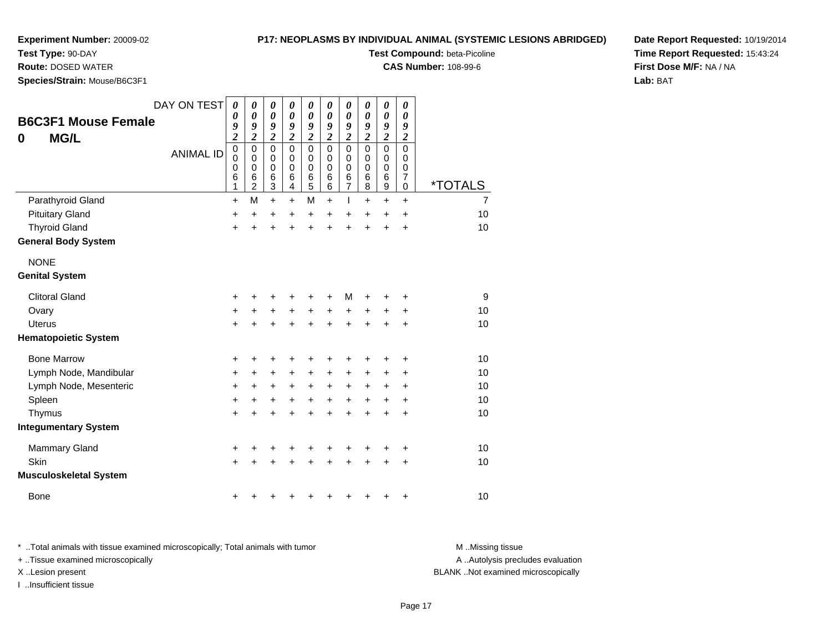**Test Type:** 90-DAY

**Route:** DOSED WATER

**Species/Strain:** Mouse/B6C3F1

## **P17: NEOPLASMS BY INDIVIDUAL ANIMAL (SYSTEMIC LESIONS ABRIDGED)**

**Test Compound:** beta-Picoline

**CAS Number:** 108-99-6

**Date Report Requested:** 10/19/2014**Time Report Requested:** 15:43:24**First Dose M/F:** NA / NA**Lab:** BAT

| <b>MG/L</b><br>0                     | <b>B6C3F1 Mouse Female</b>    | DAY ON TEST<br><b>ANIMAL ID</b> | $\boldsymbol{\theta}$<br>0<br>9<br>$\overline{\mathbf{c}}$<br>$\mathbf 0$<br>0<br>0<br>6<br>1 | $\boldsymbol{\theta}$<br>$\boldsymbol{\theta}$<br>9<br>$\overline{\mathbf{c}}$<br>$\mathbf 0$<br>$\mathbf 0$<br>$\mathbf 0$<br>6<br>$\overline{2}$ | 0<br>$\boldsymbol{\theta}$<br>9<br>$\overline{\mathbf{c}}$<br>$\mathbf 0$<br>$\mathbf 0$<br>$\mathbf 0$<br>$\,6$<br>3 | 0<br>$\boldsymbol{\theta}$<br>9<br>$\overline{\mathbf{c}}$<br>$\Omega$<br>0<br>$\pmb{0}$<br>6<br>4 | 0<br>0<br>9<br>$\overline{\mathbf{c}}$<br>$\mathbf 0$<br>$\mathbf 0$<br>$\mathbf 0$<br>$\,6$<br>5 | 0<br>0<br>9<br>$\overline{\mathbf{c}}$<br>$\Omega$<br>$\mathbf 0$<br>$\mathbf 0$<br>6<br>6 | 0<br>0<br>9<br>$\overline{\mathbf{c}}$<br>$\mathbf 0$<br>0<br>0<br>6<br>$\overline{7}$ | 0<br>0<br>9<br>$\boldsymbol{2}$<br>$\Omega$<br>0<br>0<br>$\,6$<br>8 | $\pmb{\theta}$<br>0<br>9<br>$\boldsymbol{2}$<br>$\mathbf 0$<br>0<br>0<br>$\,6$<br>$\boldsymbol{9}$ | 0<br>0<br>9<br>$\boldsymbol{2}$<br>$\mathbf 0$<br>0<br>0<br>$\overline{7}$<br>$\mathbf 0$ | <i><b>*TOTALS</b></i> |
|--------------------------------------|-------------------------------|---------------------------------|-----------------------------------------------------------------------------------------------|----------------------------------------------------------------------------------------------------------------------------------------------------|-----------------------------------------------------------------------------------------------------------------------|----------------------------------------------------------------------------------------------------|---------------------------------------------------------------------------------------------------|--------------------------------------------------------------------------------------------|----------------------------------------------------------------------------------------|---------------------------------------------------------------------|----------------------------------------------------------------------------------------------------|-------------------------------------------------------------------------------------------|-----------------------|
|                                      | Parathyroid Gland             |                                 | $\ddot{}$                                                                                     | M                                                                                                                                                  | $\ddot{}$                                                                                                             | $+$                                                                                                | M                                                                                                 | $+$                                                                                        | T                                                                                      | $\ddot{}$                                                           | $\ddot{}$                                                                                          | $\ddot{}$                                                                                 | $\overline{7}$        |
| <b>Pituitary Gland</b>               |                               |                                 | +                                                                                             | +                                                                                                                                                  | +                                                                                                                     | +                                                                                                  | $\ddot{}$                                                                                         | +                                                                                          | +                                                                                      | +                                                                   | +                                                                                                  | +                                                                                         | 10                    |
| <b>Thyroid Gland</b>                 | <b>General Body System</b>    |                                 | +                                                                                             | +                                                                                                                                                  | +                                                                                                                     |                                                                                                    | $\ddot{}$                                                                                         | $\ddot{}$                                                                                  | $\ddot{}$                                                                              | $\ddot{}$                                                           | $\ddot{}$                                                                                          | $\ddot{}$                                                                                 | 10                    |
| <b>NONE</b><br><b>Genital System</b> |                               |                                 |                                                                                               |                                                                                                                                                    |                                                                                                                       |                                                                                                    |                                                                                                   |                                                                                            |                                                                                        |                                                                     |                                                                                                    |                                                                                           |                       |
| <b>Clitoral Gland</b>                |                               |                                 | +                                                                                             |                                                                                                                                                    | +                                                                                                                     |                                                                                                    |                                                                                                   |                                                                                            | M                                                                                      |                                                                     | +                                                                                                  | +                                                                                         | 9                     |
| Ovary                                |                               |                                 | $\ddot{}$                                                                                     | +                                                                                                                                                  | $\ddot{}$                                                                                                             | +                                                                                                  | $\ddot{}$                                                                                         | +                                                                                          | +                                                                                      | +                                                                   | +                                                                                                  | +                                                                                         | 10                    |
| <b>Uterus</b>                        |                               |                                 | $\ddot{}$                                                                                     |                                                                                                                                                    |                                                                                                                       |                                                                                                    | $\ddot{}$                                                                                         | $\ddot{}$                                                                                  | $\ddot{}$                                                                              |                                                                     | $\ddot{}$                                                                                          | $\ddot{}$                                                                                 | 10                    |
|                                      | <b>Hematopoietic System</b>   |                                 |                                                                                               |                                                                                                                                                    |                                                                                                                       |                                                                                                    |                                                                                                   |                                                                                            |                                                                                        |                                                                     |                                                                                                    |                                                                                           |                       |
| <b>Bone Marrow</b>                   |                               |                                 | +                                                                                             | +                                                                                                                                                  | +                                                                                                                     |                                                                                                    |                                                                                                   |                                                                                            | +                                                                                      |                                                                     | +                                                                                                  | +                                                                                         | 10                    |
|                                      | Lymph Node, Mandibular        |                                 | +                                                                                             | +                                                                                                                                                  | $\ddot{}$                                                                                                             | $\ddot{}$                                                                                          | $\ddot{}$                                                                                         | $\ddot{}$                                                                                  | +                                                                                      | +                                                                   | +                                                                                                  | +                                                                                         | 10                    |
|                                      | Lymph Node, Mesenteric        |                                 | +                                                                                             | +                                                                                                                                                  | +                                                                                                                     | +                                                                                                  | $\ddot{}$                                                                                         | $\ddot{}$                                                                                  | +                                                                                      | +                                                                   | +                                                                                                  | +                                                                                         | 10                    |
| Spleen                               |                               |                                 | +                                                                                             | +                                                                                                                                                  | +                                                                                                                     | +                                                                                                  | $\ddot{}$                                                                                         | +                                                                                          | $\ddot{}$                                                                              | +                                                                   | +                                                                                                  | $\ddot{}$                                                                                 | 10                    |
| Thymus                               |                               |                                 | +                                                                                             |                                                                                                                                                    |                                                                                                                       |                                                                                                    |                                                                                                   |                                                                                            | $\ddot{}$                                                                              | Ŧ.                                                                  | $\ddot{}$                                                                                          | $\ddot{}$                                                                                 | 10                    |
|                                      | <b>Integumentary System</b>   |                                 |                                                                                               |                                                                                                                                                    |                                                                                                                       |                                                                                                    |                                                                                                   |                                                                                            |                                                                                        |                                                                     |                                                                                                    |                                                                                           |                       |
| <b>Mammary Gland</b>                 |                               |                                 | +                                                                                             | +                                                                                                                                                  | +                                                                                                                     |                                                                                                    | +                                                                                                 | +                                                                                          | +                                                                                      | ٠                                                                   | +                                                                                                  | +                                                                                         | 10                    |
| Skin                                 |                               |                                 | $\ddot{}$                                                                                     |                                                                                                                                                    |                                                                                                                       |                                                                                                    |                                                                                                   |                                                                                            |                                                                                        |                                                                     | +                                                                                                  | $\ddot{}$                                                                                 | 10                    |
|                                      | <b>Musculoskeletal System</b> |                                 |                                                                                               |                                                                                                                                                    |                                                                                                                       |                                                                                                    |                                                                                                   |                                                                                            |                                                                                        |                                                                     |                                                                                                    |                                                                                           |                       |
| <b>Bone</b>                          |                               |                                 | +                                                                                             |                                                                                                                                                    |                                                                                                                       |                                                                                                    |                                                                                                   |                                                                                            |                                                                                        |                                                                     | +                                                                                                  | +                                                                                         | 10                    |

\* ..Total animals with tissue examined microscopically; Total animals with tumor **M** . Missing tissue M ..Missing tissue A ..Autolysis precludes evaluation + ..Tissue examined microscopically X ..Lesion present BLANK ..Not examined microscopicallyI ..Insufficient tissue

Page 17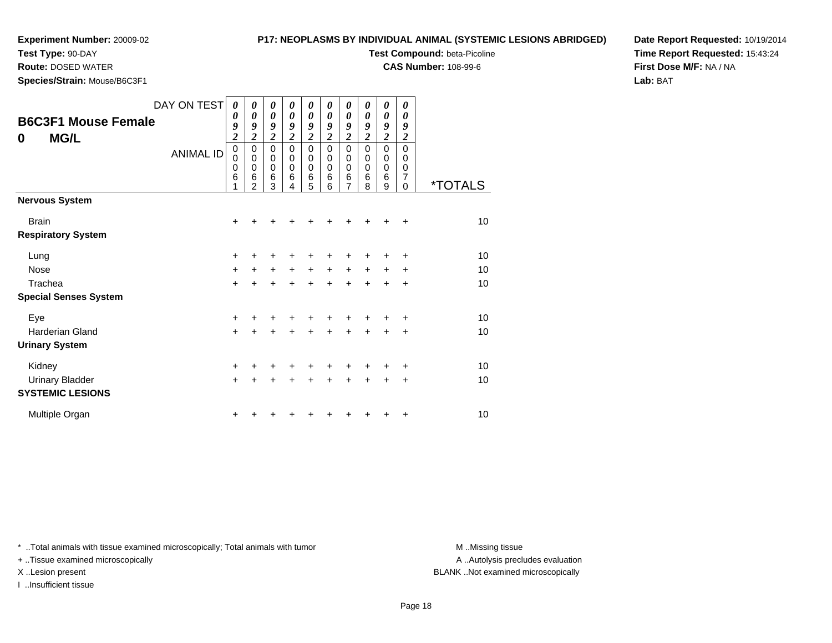**Test Type:** 90-DAY**Route:** DOSED WATER

# **P17: NEOPLASMS BY INDIVIDUAL ANIMAL (SYSTEMIC LESIONS ABRIDGED)**

**Test Compound:** beta-Picoline

**CAS Number:** 108-99-6

**Date Report Requested:** 10/19/2014**Time Report Requested:** 15:43:24**First Dose M/F:** NA / NA**Lab:** BAT

**Species/Strain:** Mouse/B6C3F1

|                              | DAY ON TEST      | 0                          | 0                          | 0                       | 0              | 0                | 0                          | 0              | 0                | 0                          | 0                |                       |
|------------------------------|------------------|----------------------------|----------------------------|-------------------------|----------------|------------------|----------------------------|----------------|------------------|----------------------------|------------------|-----------------------|
| <b>B6C3F1 Mouse Female</b>   |                  | $\boldsymbol{\theta}$<br>9 | 0<br>9                     | 0<br>9                  | 0<br>9         | 0<br>9           | $\boldsymbol{\theta}$<br>9 | 0<br>9         | 0<br>9           | $\boldsymbol{\theta}$<br>9 | 0<br>9           |                       |
| <b>MG/L</b><br>0             |                  | $\overline{\mathbf{c}}$    | $\overline{\mathbf{c}}$    | $\overline{\mathbf{c}}$ | $\overline{c}$ | $\overline{c}$   | $\boldsymbol{2}$           | $\overline{c}$ | $\boldsymbol{2}$ | $\overline{\mathbf{c}}$    | $\boldsymbol{2}$ |                       |
|                              | <b>ANIMAL ID</b> | $\mathbf 0$                | $\mathbf 0$                | $\mathbf 0$             | $\mathbf 0$    | 0                | $\mathbf 0$                | $\mathbf 0$    | 0                | $\mathbf 0$                | $\mathbf 0$      |                       |
|                              |                  | $\mathbf 0$<br>$\mathbf 0$ | $\mathbf 0$<br>$\mathbf 0$ | 0<br>$\mathbf 0$        | $\Omega$<br>0  | 0<br>$\mathbf 0$ | 0<br>0                     | 0<br>0         | 0<br>0           | $\mathbf 0$<br>$\mathbf 0$ | 0<br>0           |                       |
|                              |                  | 6                          | 6<br>$\overline{2}$        | 6<br>3                  | 6<br>4         | 6<br>5           | 6<br>6                     | $\frac{6}{7}$  | 6<br>8           | 6<br>9                     | 7<br>$\Omega$    | <i><b>*TOTALS</b></i> |
| <b>Nervous System</b>        |                  |                            |                            |                         |                |                  |                            |                |                  |                            |                  |                       |
| <b>Brain</b>                 |                  | +                          |                            |                         | ┿              | +                |                            |                |                  |                            | ÷                | 10                    |
| <b>Respiratory System</b>    |                  |                            |                            |                         |                |                  |                            |                |                  |                            |                  |                       |
| Lung                         |                  | $\ddot{}$                  |                            |                         |                | +                |                            |                |                  |                            | ÷                | 10                    |
| <b>Nose</b>                  |                  | $\ddot{}$                  | $\ddot{}$                  | $\ddot{}$               | $+$            | $+$              | $+$                        | $+$            | $+$              | $+$                        | $\ddot{}$        | 10                    |
| Trachea                      |                  | $\ddot{}$                  |                            | $\ddot{}$               | $\ddot{}$      | $\ddot{}$        | $\ddot{}$                  | $\ddot{}$      | $\ddot{}$        | +                          | $\ddot{}$        | 10                    |
| <b>Special Senses System</b> |                  |                            |                            |                         |                |                  |                            |                |                  |                            |                  |                       |
| Eye                          |                  | $\ddot{}$                  |                            |                         |                | +                |                            |                |                  |                            | ÷                | 10                    |
| <b>Harderian Gland</b>       |                  | $\ddot{}$                  |                            | $\ddot{}$               | $\ddot{}$      | $\ddot{}$        | $+$                        | $\ddot{}$      | $\ddot{}$        | +                          | $\ddot{}$        | 10                    |
| <b>Urinary System</b>        |                  |                            |                            |                         |                |                  |                            |                |                  |                            |                  |                       |
| Kidney                       |                  | $\ddot{}$                  | ٠                          | +                       | ٠              | +                | ٠                          | ÷              |                  | ٠                          | $\ddot{}$        | 10                    |
| <b>Urinary Bladder</b>       |                  | $\ddot{}$                  | ÷                          | $\div$                  | $\ddot{}$      | $\ddot{}$        | ÷                          | $+$            | ÷                | $\ddot{}$                  | +                | 10                    |
| <b>SYSTEMIC LESIONS</b>      |                  |                            |                            |                         |                |                  |                            |                |                  |                            |                  |                       |
| Multiple Organ               |                  | +                          |                            |                         |                |                  |                            |                |                  | +                          | +                | 10                    |

\* ..Total animals with tissue examined microscopically; Total animals with tumor **M** . Missing tissue M ..Missing tissue

+ ..Tissue examined microscopically

I ..Insufficient tissue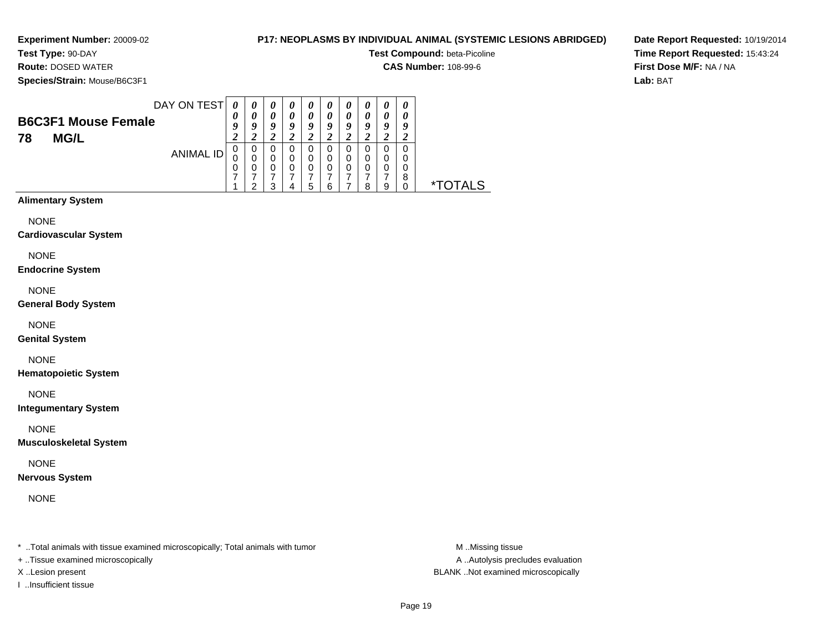# **P17: NEOPLASMS BY INDIVIDUAL ANIMAL (SYSTEMIC LESIONS ABRIDGED)**

**Test Compound:** beta-Picoline

**CAS Number:** 108-99-6

**Species/Strain:** Mouse/B6C3F1

**Route:** DOSED WATER

**Date Report Requested:** 10/19/2014**Time Report Requested:** 15:43:24**First Dose M/F:** NA / NA**Lab:** BAT

| DAY ON TEST<br><b>B6C3F1 Mouse Female</b> | 0<br>0<br>q         | 0<br>0<br>O      | $\boldsymbol{\theta}$<br>0<br>$\boldsymbol{0}$ | $\boldsymbol{\theta}$<br>0<br>o | U<br>0<br>u      | $\boldsymbol{\theta}$<br>o | о      | 0 | $\boldsymbol{\theta}$<br>$\boldsymbol{\theta}$<br>y |            |
|-------------------------------------------|---------------------|------------------|------------------------------------------------|---------------------------------|------------------|----------------------------|--------|---|-----------------------------------------------------|------------|
|                                           | ി<br>$\overline{ }$ |                  |                                                |                                 | ∍<br>∠           |                            |        |   |                                                     |            |
| <b>ANIMAL ID</b>                          | 0<br>0<br>0         | 0<br>0<br>0<br>◠ | 0<br>0<br>0<br>っ                               | 0<br>0<br>0                     | 0<br>0<br>0<br>5 | 0<br>0<br>6                | Ο<br>D | o | 8                                                   | TAI S<br>* |

# **Alimentary System**

NONE

**Cardiovascular System**

NONE

**Endocrine System**

NONE

**General Body System**

NONE

**Genital System**

NONE

**Hematopoietic System**

NONE

**Integumentary System**

NONE

**Musculoskeletal System**

NONE

**Nervous System**

NONE

\* ..Total animals with tissue examined microscopically; Total animals with tumor **M** ...Missing tissue M ...Missing tissue

+ ..Tissue examined microscopically

I ..Insufficient tissue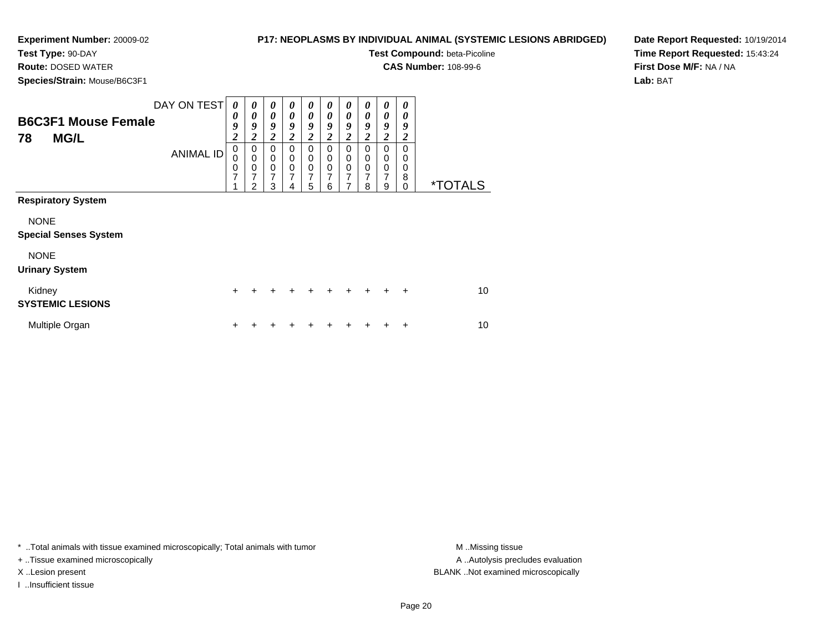**Test Type:** 90-DAY**Route:** DOSED WATER

# **P17: NEOPLASMS BY INDIVIDUAL ANIMAL (SYSTEMIC LESIONS ABRIDGED)**

**Test Compound:** beta-Picoline

**CAS Number:** 108-99-6

**Species/Strain:** Mouse/B6C3F1

**Date Report Requested:** 10/19/2014**Time Report Requested:** 15:43:24**First Dose M/F:** NA / NA**Lab:** BAT

| <b>B6C3F1 Mouse Female</b><br><b>MG/L</b><br>78                                                                  | DAY ON TEST<br><b>ANIMAL ID</b> | 0<br>0<br>9<br>$\overline{2}$<br>0<br>$\mathbf 0$<br>$\frac{0}{7}$<br>4 | $\boldsymbol{\theta}$<br>$\boldsymbol{\theta}$<br>9<br>$\boldsymbol{2}$<br>0<br>$\mathbf 0$<br>0<br>7<br>2 | 0<br>$\boldsymbol{\theta}$<br>9<br>$\overline{\mathbf{c}}$<br>0<br>$\pmb{0}$<br>$\pmb{0}$<br>7<br>3 | 0<br>$\boldsymbol{\theta}$<br>9<br>2<br>0<br>0<br>$\mathbf 0$<br>$\overline{7}$ | 0<br>0<br>9<br>$\overline{\mathbf{c}}$<br>0<br>0<br>$\pmb{0}$<br>7<br>5 | 0<br>0<br>9<br>$\overline{2}$<br>0<br>0<br>$\mathbf 0$<br>7<br>6 | 0<br>0<br>9<br>$\overline{c}$<br>$\mathbf 0$<br>0<br>$\mathbf 0$<br>7 | 0<br>0<br>9<br>2<br>$\Omega$<br>0<br>$\mathbf 0$<br>7<br>8 | 0<br>0<br>9<br>$\overline{2}$<br>0<br>0<br>$\mathbf 0$<br>7<br>9 | 0<br>0<br>9<br>$\overline{2}$<br>$\Omega$<br>0<br>$\mathbf 0$<br>8<br>$\Omega$ | <i><b>*TOTALS</b></i> |
|------------------------------------------------------------------------------------------------------------------|---------------------------------|-------------------------------------------------------------------------|------------------------------------------------------------------------------------------------------------|-----------------------------------------------------------------------------------------------------|---------------------------------------------------------------------------------|-------------------------------------------------------------------------|------------------------------------------------------------------|-----------------------------------------------------------------------|------------------------------------------------------------|------------------------------------------------------------------|--------------------------------------------------------------------------------|-----------------------|
| <b>Respiratory System</b><br><b>NONE</b><br><b>Special Senses System</b><br><b>NONE</b><br><b>Urinary System</b> |                                 |                                                                         |                                                                                                            |                                                                                                     |                                                                                 |                                                                         |                                                                  |                                                                       |                                                            |                                                                  |                                                                                |                       |
| Kidney<br><b>SYSTEMIC LESIONS</b>                                                                                |                                 | $+$                                                                     |                                                                                                            |                                                                                                     |                                                                                 |                                                                         | $\div$                                                           | $\ddot{}$                                                             | $+$                                                        | $+$                                                              | $\ddot{}$                                                                      | 10                    |
| Multiple Organ                                                                                                   |                                 | +                                                                       |                                                                                                            |                                                                                                     |                                                                                 |                                                                         |                                                                  |                                                                       |                                                            |                                                                  | ÷                                                                              | 10                    |

\* ..Total animals with tissue examined microscopically; Total animals with tumor **M** . Missing tissue M ..Missing tissue

+ ..Tissue examined microscopically

I ..Insufficient tissue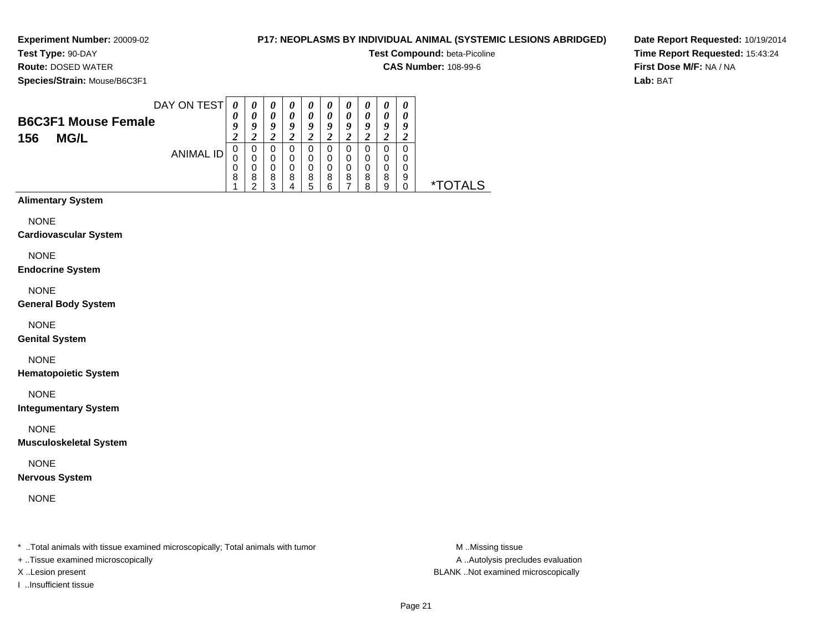# **P17: NEOPLASMS BY INDIVIDUAL ANIMAL (SYSTEMIC LESIONS ABRIDGED)**

**Test Compound:** beta-Picoline

**CAS Number:** 108-99-6

**Species/Strain:** Mouse/B6C3F1

**Route:** DOSED WATER

**Date Report Requested:** 10/19/2014**Time Report Requested:** 15:43:24**First Dose M/F:** NA / NA**Lab:** BAT

| 0 | U                                  | $\boldsymbol{\theta}$ | $\boldsymbol{v}$      | $\boldsymbol{\theta}$ | U                  | $\boldsymbol{\theta}$ | 0                  | 0           | 0           |                     |
|---|------------------------------------|-----------------------|-----------------------|-----------------------|--------------------|-----------------------|--------------------|-------------|-------------|---------------------|
| 0 |                                    | 0                     | $\boldsymbol{\theta}$ | 0                     |                    | 0                     |                    | 0           |             |                     |
|   |                                    |                       |                       |                       |                    | $\overline{ }$        |                    |             |             |                     |
| U |                                    |                       |                       | 0                     |                    |                       |                    | 0           |             |                     |
|   |                                    |                       |                       | 0                     |                    | 0                     |                    | 0           |             |                     |
|   |                                    |                       |                       |                       |                    |                       |                    |             |             |                     |
|   |                                    | ◠                     |                       | 5                     | ⌒                  |                       | o                  | 9           |             | <b>.)TALS</b><br>∗⊤ |
|   | DAY ON TEST<br>ANIMAL ID<br>0<br>8 | o<br>8                | 9<br>0<br>8           | 9<br>0<br>8           | 9<br>$\Omega$<br>8 | Q<br>0<br>8           | q<br>$\Omega$<br>8 | Q<br>0<br>8 | 9<br>0<br>8 | o<br>0<br>9         |

# **Alimentary System**

NONE

**Cardiovascular System**

NONE

**Endocrine System**

NONE

**General Body System**

NONE

**Genital System**

NONE

**Hematopoietic System**

NONE

**Integumentary System**

NONE

**Musculoskeletal System**

NONE

**Nervous System**

NONE

\* ..Total animals with tissue examined microscopically; Total animals with tumor **M** ...Missing tissue M ...Missing tissue

+ ..Tissue examined microscopically

I ..Insufficient tissue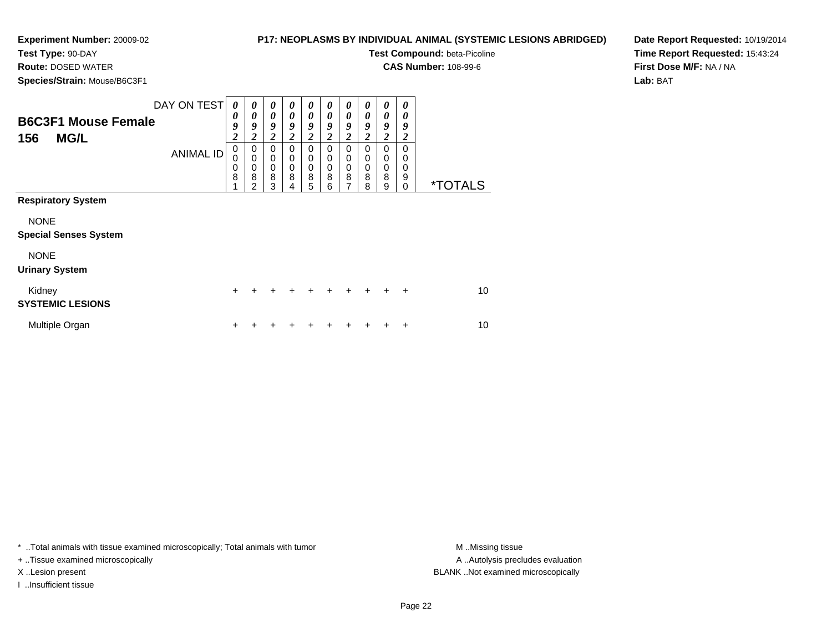**Test Type:** 90-DAY**Route:** DOSED WATER

# **P17: NEOPLASMS BY INDIVIDUAL ANIMAL (SYSTEMIC LESIONS ABRIDGED)**

**Test Compound:** beta-Picoline

**CAS Number:** 108-99-6

**Species/Strain:** Mouse/B6C3F1

**Date Report Requested:** 10/19/2014**Time Report Requested:** 15:43:24**First Dose M/F:** NA / NA**Lab:** BAT

|                              | DAY ON TEST      | 0                | 0                | 0              | 0                | 0                | 0                                         | 0                       | 0                          | 0                | 0                |                       |
|------------------------------|------------------|------------------|------------------|----------------|------------------|------------------|-------------------------------------------|-------------------------|----------------------------|------------------|------------------|-----------------------|
| <b>B6C3F1 Mouse Female</b>   |                  | 0<br>9           | 0<br>9           | 0<br>9         | 0<br>9           | 0<br>9           | $\boldsymbol{\theta}$<br>$\boldsymbol{g}$ | 0<br>9                  | $\boldsymbol{\theta}$<br>9 | 0<br>9           | 0<br>9           |                       |
| 156<br><b>MG/L</b>           |                  | $\overline{2}$   | $\overline{2}$   | $\overline{2}$ | $\boldsymbol{2}$ | $\overline{c}$   | $\boldsymbol{2}$                          | $\overline{\mathbf{c}}$ | $\overline{c}$             | $\boldsymbol{2}$ | $\boldsymbol{2}$ |                       |
|                              | <b>ANIMAL ID</b> | 0<br>$\mathbf 0$ | 0<br>$\mathbf 0$ | 0<br>$\pmb{0}$ | 0<br>0           | 0<br>$\mathbf 0$ | $\Omega$<br>0                             | 0<br>0                  | $\Omega$<br>0              | 0<br>0           | 0<br>0           |                       |
|                              |                  | $\mathbf 0$<br>8 | 0<br>8           | $\pmb{0}$<br>8 | 0<br>8           | $\mathbf 0$<br>8 | $\mathbf 0$<br>8                          | $\mathbf 0$<br>8        | $\mathbf 0$<br>8           | $\mathbf 0$<br>8 | 0<br>9           |                       |
|                              |                  | 4                | っ                | 3              | 4                | 5                | 6                                         | 7                       | 8                          | 9                | 0                | <i><b>*TOTALS</b></i> |
| <b>Respiratory System</b>    |                  |                  |                  |                |                  |                  |                                           |                         |                            |                  |                  |                       |
| <b>NONE</b>                  |                  |                  |                  |                |                  |                  |                                           |                         |                            |                  |                  |                       |
| <b>Special Senses System</b> |                  |                  |                  |                |                  |                  |                                           |                         |                            |                  |                  |                       |
| <b>NONE</b>                  |                  |                  |                  |                |                  |                  |                                           |                         |                            |                  |                  |                       |
| <b>Urinary System</b>        |                  |                  |                  |                |                  |                  |                                           |                         |                            |                  |                  |                       |
| Kidney                       |                  | $\ddot{}$        |                  |                |                  |                  |                                           |                         | $+$                        | $\ddot{}$        | $+$              | 10                    |
| <b>SYSTEMIC LESIONS</b>      |                  |                  |                  |                |                  |                  |                                           |                         |                            |                  |                  |                       |
| Multiple Organ               |                  | ٠                |                  |                |                  |                  |                                           |                         |                            |                  | +                | 10                    |

\* ..Total animals with tissue examined microscopically; Total animals with tumor **M** . Missing tissue M ..Missing tissue

+ ..Tissue examined microscopically

I ..Insufficient tissue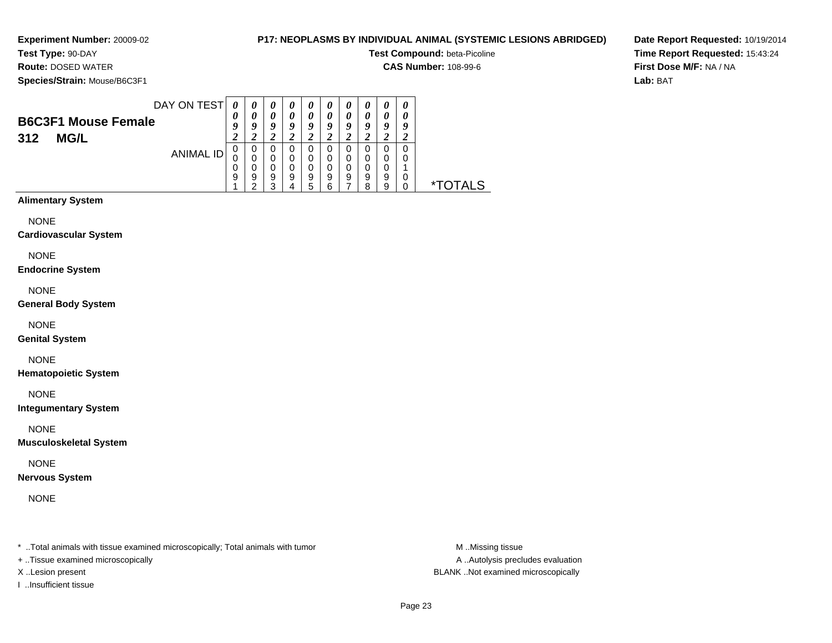**Test Type:** 90-DAY**Route:** DOSED WATER

# **P17: NEOPLASMS BY INDIVIDUAL ANIMAL (SYSTEMIC LESIONS ABRIDGED)**

**Test Compound:** beta-Picoline

**CAS Number:** 108-99-6

**Species/Strain:** Mouse/B6C3F1

**Date Report Requested:** 10/19/2014**Time Report Requested:** 15:43:24**First Dose M/F:** NA / NA**Lab:** BAT

|                            | DAY ON TEST | 0                | $\boldsymbol{\theta}$ | $\boldsymbol{\theta}$ | $\boldsymbol{\theta}$ | $\boldsymbol{\theta}$ | $\boldsymbol{\theta}$ | $\boldsymbol{\theta}$ | $\boldsymbol{\theta}$ | $\boldsymbol{\theta}$ | $\boldsymbol{\theta}$ |
|----------------------------|-------------|------------------|-----------------------|-----------------------|-----------------------|-----------------------|-----------------------|-----------------------|-----------------------|-----------------------|-----------------------|
| <b>B6C3F1 Mouse Female</b> |             | 0                |                       | 0                     | 0                     | 0                     | 0                     | 0                     | 0                     | 0                     |                       |
|                            |             | $\boldsymbol{0}$ | o                     | 9                     | 9                     | Q                     | Q                     | 9                     | 0                     | 9                     | 9                     |
| <b>MG/L</b><br>312         |             |                  |                       |                       |                       |                       |                       | $\epsilon$            |                       | ∠                     |                       |
|                            | ANIMAL ID   | U                | 0                     | 0                     |                       | 0                     |                       | 0                     |                       | 0                     | 0                     |
|                            |             |                  |                       | 0                     | 0                     | 0                     | 0                     | 0                     | 0                     | 0                     | O                     |
|                            |             | 0                |                       | 0                     | 0                     | 0                     | 0                     | 0                     | 0                     | 0                     |                       |
|                            |             | 9                | 9                     | 9<br>っ                | 9                     | 9                     | 9                     | 9                     | 9<br>я                | 9<br>9                | 0                     |
|                            |             |                  |                       |                       |                       | h                     |                       |                       |                       |                       |                       |

# **Alimentary System**

NONE

#### **Cardiovascular System**

NONE

#### **Endocrine System**

NONE

## **General Body System**

NONE

## **Genital System**

NONE

## **Hematopoietic System**

NONE

## **Integumentary System**

NONE

## **Musculoskeletal System**

NONE

## **Nervous System**

NONE

\* ..Total animals with tissue examined microscopically; Total animals with tumor **M** ..Missing tissue M ..Missing tissue

+ ..Tissue examined microscopically

I ..Insufficient tissue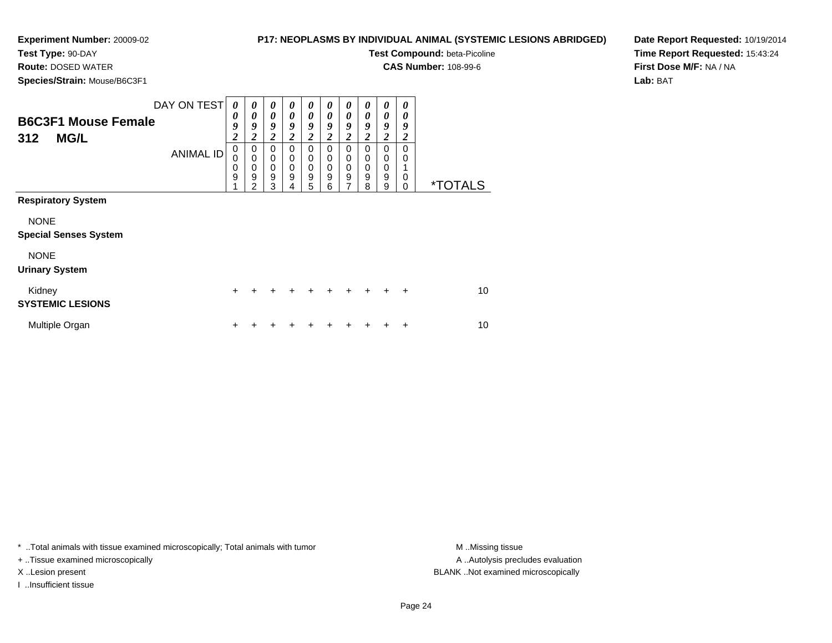**Test Type:** 90-DAY**Route:** DOSED WATER

# **P17: NEOPLASMS BY INDIVIDUAL ANIMAL (SYSTEMIC LESIONS ABRIDGED)**

**Test Compound:** beta-Picoline

**CAS Number:** 108-99-6

**Species/Strain:** Mouse/B6C3F1

**Date Report Requested:** 10/19/2014**Time Report Requested:** 15:43:24**First Dose M/F:** NA / NA**Lab:** BAT

| .                                                |                                 |                                                       |                                      |                                                       |                       |                                             |                                   |                                    |                                             |                            |                                                |                       |
|--------------------------------------------------|---------------------------------|-------------------------------------------------------|--------------------------------------|-------------------------------------------------------|-----------------------|---------------------------------------------|-----------------------------------|------------------------------------|---------------------------------------------|----------------------------|------------------------------------------------|-----------------------|
| <b>B6C3F1 Mouse Female</b><br><b>MG/L</b><br>312 | DAY ON TEST<br><b>ANIMAL ID</b> | 0<br>0<br>9<br>$\overline{\mathbf{c}}$<br>$\mathbf 0$ | 0<br>0<br>9<br>$\boldsymbol{2}$<br>0 | 0<br>0<br>9<br>$\overline{\mathbf{2}}$<br>$\mathbf 0$ | 0<br>0<br>9<br>2<br>0 | 0<br>0<br>9<br>$\overline{\mathbf{2}}$<br>0 | 0<br>0<br>9<br>2<br>$\Omega$      | 0<br>0<br>9<br>$\overline{2}$<br>0 | 0<br>0<br>9<br>$\boldsymbol{2}$<br>$\Omega$ | 0<br>0<br>9<br>2<br>0      | 0<br>0<br>9<br>$\boldsymbol{2}$<br>$\mathbf 0$ |                       |
|                                                  |                                 | 0<br>$\mathbf 0$<br>9<br>4                            | $\Omega$<br>0<br>9<br>2              | $\mathbf 0$<br>$\pmb{0}$<br>$\boldsymbol{9}$<br>3     | 0<br>0<br>9<br>4      | 0<br>0<br>9<br>5                            | $\Omega$<br>$\mathbf 0$<br>9<br>6 | 0<br>$\mathbf 0$<br>9<br>7         | $\Omega$<br>$\mathbf 0$<br>9<br>8           | 0<br>$\mathbf 0$<br>9<br>9 | $\mathbf 0$<br>0<br>$\mathbf 0$                | <i><b>*TOTALS</b></i> |
| <b>Respiratory System</b>                        |                                 |                                                       |                                      |                                                       |                       |                                             |                                   |                                    |                                             |                            |                                                |                       |
| <b>NONE</b><br><b>Special Senses System</b>      |                                 |                                                       |                                      |                                                       |                       |                                             |                                   |                                    |                                             |                            |                                                |                       |
| <b>NONE</b><br><b>Urinary System</b>             |                                 |                                                       |                                      |                                                       |                       |                                             |                                   |                                    |                                             |                            |                                                |                       |
| Kidney<br><b>SYSTEMIC LESIONS</b>                |                                 | $\pm$                                                 |                                      |                                                       |                       |                                             |                                   |                                    |                                             | $+$                        | $\ddot{}$                                      | 10                    |
| Multiple Organ                                   |                                 | ٠                                                     |                                      |                                                       |                       |                                             |                                   |                                    |                                             |                            | ÷                                              | 10                    |

\* ..Total animals with tissue examined microscopically; Total animals with tumor **M** . Missing tissue M ..Missing tissue

+ ..Tissue examined microscopically

I ..Insufficient tissue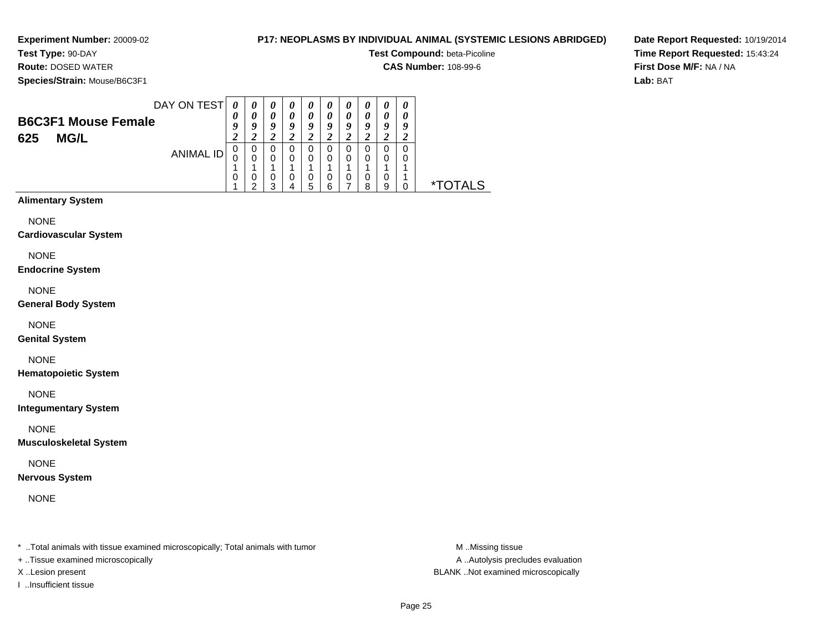# **P17: NEOPLASMS BY INDIVIDUAL ANIMAL (SYSTEMIC LESIONS ABRIDGED)**

**Test Compound:** beta-Picoline

**CAS Number:** 108-99-6

**Species/Strain:** Mouse/B6C3F1

**Route:** DOSED WATER

**Date Report Requested:** 10/19/2014**Time Report Requested:** 15:43:24**First Dose M/F:** NA / NA**Lab:** BAT

|                            | DAY ON TEST |    | $\boldsymbol{\theta}$ | $\boldsymbol{\theta}$ | $\boldsymbol{\theta}$ | $\boldsymbol{\theta}$ | U | $\boldsymbol{\theta}$ | $\boldsymbol{\theta}$ | $\boldsymbol{\theta}$ | $\boldsymbol{\theta}$ |                       |
|----------------------------|-------------|----|-----------------------|-----------------------|-----------------------|-----------------------|---|-----------------------|-----------------------|-----------------------|-----------------------|-----------------------|
| <b>B6C3F1 Mouse Female</b> |             | U  |                       |                       | 0                     | 0                     |   | 0                     | $\boldsymbol{\theta}$ | 0                     |                       |                       |
|                            |             | q  | O                     | 9                     | Q                     | 9                     | 0 | 9                     | Q                     | 9                     | o                     |                       |
| <b>MG/L</b><br>625         |             | 2  |                       |                       |                       |                       |   |                       |                       |                       |                       |                       |
|                            | ANIMAL ID   | 0  | 0                     | 0                     |                       | 0                     |   |                       |                       | 0                     |                       |                       |
|                            |             | ι. |                       | 0                     | 0                     | 0                     |   | $\Omega$              |                       | 0                     |                       |                       |
|                            |             |    |                       |                       |                       |                       |   |                       |                       |                       |                       |                       |
|                            |             | 0  |                       | 0                     |                       | 0                     |   | 0                     |                       | 0                     |                       |                       |
|                            |             |    | ◠                     | ົ                     |                       | 5                     | ĥ |                       | я                     | a                     |                       | TAI S<br>$\mathbf{x}$ |

# **Alimentary System**

NONE

**Cardiovascular System**

NONE

**Endocrine System**

NONE

**General Body System**

NONE

**Genital System**

NONE

**Hematopoietic System**

NONE

**Integumentary System**

NONE

**Musculoskeletal System**

NONE

**Nervous System**

NONE

\* ..Total animals with tissue examined microscopically; Total animals with tumor **M** ...Missing tissue M ...Missing tissue

+ ..Tissue examined microscopically

I ..Insufficient tissue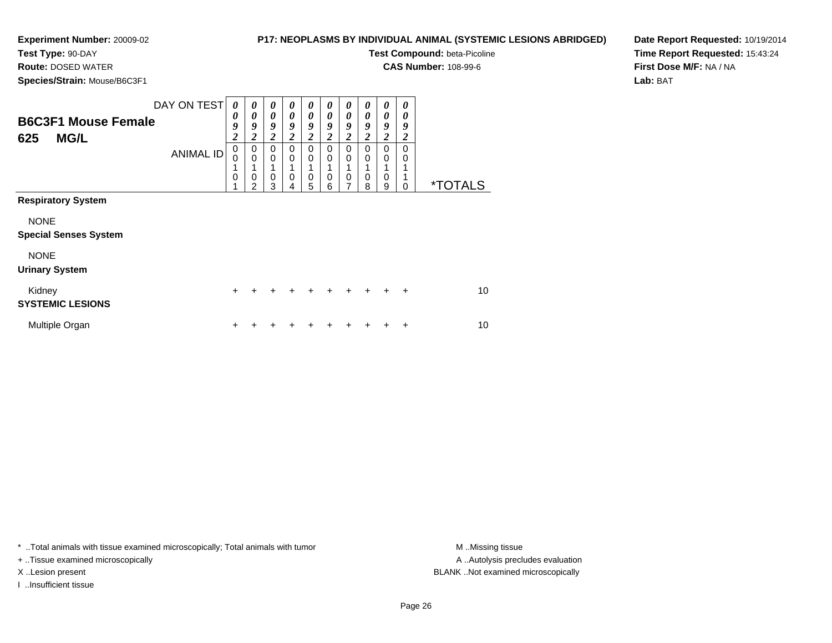**Test Type:** 90-DAY

**Route:** DOSED WATER

**Species/Strain:** Mouse/B6C3F1

# **P17: NEOPLASMS BY INDIVIDUAL ANIMAL (SYSTEMIC LESIONS ABRIDGED)**

**Test Compound:** beta-Picoline

**CAS Number:** 108-99-6

**Date Report Requested:** 10/19/2014**Time Report Requested:** 15:43:24**First Dose M/F:** NA / NA**Lab:** BAT

| <b>B6C3F1 Mouse Female</b><br><b>MG/L</b><br>625 | DAY ON TEST<br><b>ANIMAL ID</b> | 0<br>0<br>9<br>$\overline{c}$<br>$\mathbf 0$<br>0<br>1<br>$\mathbf 0$ | 0<br>0<br>9<br>$\boldsymbol{2}$<br>0<br>$\mathbf 0$<br>0<br>っ | 0<br>0<br>9<br>$\boldsymbol{2}$<br>$\mathbf 0$<br>$\mathbf 0$<br>0<br>3 | 0<br>0<br>9<br>2<br>0<br>0<br>0<br>4 | 0<br>0<br>9<br>$\boldsymbol{2}$<br>0<br>0<br>0<br>5 | 0<br>0<br>9<br>2<br>0<br>0<br>0<br>6 | 0<br>0<br>9<br>2<br>0<br>0<br>0<br>7 | 0<br>0<br>9<br>2<br>$\Omega$<br>$\Omega$<br>0<br>8 | 0<br>0<br>9<br>2<br>0<br>$\Omega$<br>0<br>9 | 0<br>0<br>9<br>2<br>$\Omega$<br>0<br>1<br>1<br>0 | <i><b>*TOTALS</b></i> |
|--------------------------------------------------|---------------------------------|-----------------------------------------------------------------------|---------------------------------------------------------------|-------------------------------------------------------------------------|--------------------------------------|-----------------------------------------------------|--------------------------------------|--------------------------------------|----------------------------------------------------|---------------------------------------------|--------------------------------------------------|-----------------------|
| <b>Respiratory System</b>                        |                                 |                                                                       |                                                               |                                                                         |                                      |                                                     |                                      |                                      |                                                    |                                             |                                                  |                       |
| <b>NONE</b><br><b>Special Senses System</b>      |                                 |                                                                       |                                                               |                                                                         |                                      |                                                     |                                      |                                      |                                                    |                                             |                                                  |                       |
| <b>NONE</b><br><b>Urinary System</b>             |                                 |                                                                       |                                                               |                                                                         |                                      |                                                     |                                      |                                      |                                                    |                                             |                                                  |                       |
| Kidney<br><b>SYSTEMIC LESIONS</b>                |                                 | $+$                                                                   | +                                                             | +                                                                       |                                      | +                                                   | $\div$                               | +                                    | $\ddot{}$                                          | $\div$                                      | $\div$                                           | 10                    |
| Multiple Organ                                   |                                 | +                                                                     |                                                               |                                                                         |                                      |                                                     |                                      |                                      |                                                    |                                             | +                                                | 10                    |

\* ..Total animals with tissue examined microscopically; Total animals with tumor **M** . Missing tissue M ..Missing tissue

+ ..Tissue examined microscopically

I ..Insufficient tissue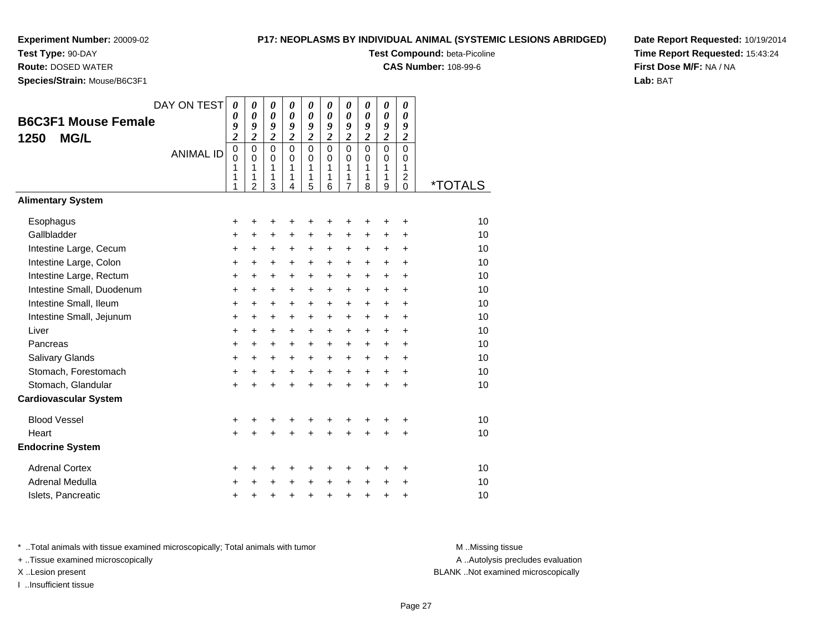**Test Type:** 90-DAY

**Route:** DOSED WATER

**Species/Strain:** Mouse/B6C3F1

# **P17: NEOPLASMS BY INDIVIDUAL ANIMAL (SYSTEMIC LESIONS ABRIDGED)**

**Test Compound:** beta-Picoline

**CAS Number:** 108-99-6

**Date Report Requested:** 10/19/2014**Time Report Requested:** 15:43:24**First Dose M/F:** NA / NA**Lab:** BAT

|                              | DAY ON TEST      | 0                          | $\boldsymbol{\theta}$   | 0                          | 0                          | 0                       | 0                | $\boldsymbol{\theta}$   | 0                       | $\boldsymbol{\theta}$      | 0                            |                       |
|------------------------------|------------------|----------------------------|-------------------------|----------------------------|----------------------------|-------------------------|------------------|-------------------------|-------------------------|----------------------------|------------------------------|-----------------------|
| <b>B6C3F1 Mouse Female</b>   |                  | 0<br>9                     | 0<br>9                  | 0<br>9                     | $\boldsymbol{\theta}$<br>9 | 0<br>9                  | 0<br>9           | $\theta$<br>9           | 0<br>9                  | 0<br>9                     | $\boldsymbol{\theta}$<br>9   |                       |
| <b>MG/L</b><br>1250          |                  | $\overline{\mathbf{c}}$    | $\overline{\mathbf{c}}$ | $\boldsymbol{2}$           | $\overline{\mathbf{c}}$    | $\overline{\mathbf{c}}$ | $\boldsymbol{2}$ | $\overline{\mathbf{c}}$ | $\overline{2}$          | $\overline{\mathbf{c}}$    | $\boldsymbol{2}$             |                       |
|                              | <b>ANIMAL ID</b> | $\overline{0}$<br>$\Omega$ | $\mathbf 0$<br>$\Omega$ | $\mathbf 0$<br>$\mathbf 0$ | $\Omega$<br>$\Omega$       | $\mathbf 0$             | $\mathbf 0$<br>0 | $\mathbf 0$<br>$\Omega$ | $\mathbf 0$<br>$\Omega$ | $\overline{0}$<br>$\Omega$ | $\overline{0}$<br>$\Omega$   |                       |
|                              |                  | 1                          | 1                       | 1                          | $\mathbf{1}$               | 0<br>1                  | 1                | 1                       | 1                       | 1                          | 1                            |                       |
|                              |                  | 1<br>1                     | 1<br>$\overline{2}$     | 1<br>3                     | 1<br>4                     | 1<br>5                  | 1<br>6           | 1<br>7                  | 1<br>8                  | 1<br>9                     | $\overline{\mathbf{c}}$<br>0 | <i><b>*TOTALS</b></i> |
| <b>Alimentary System</b>     |                  |                            |                         |                            |                            |                         |                  |                         |                         |                            |                              |                       |
| Esophagus                    |                  | +                          | +                       | +                          | +                          | +                       | +                | +                       |                         | +                          | +                            | 10                    |
| Gallbladder                  |                  | +                          | $\ddot{}$               | $\ddot{}$                  | $\ddot{}$                  | $\ddot{}$               | $\ddot{}$        | $\ddot{}$               | $\ddot{}$               | $\ddot{}$                  | +                            | 10                    |
| Intestine Large, Cecum       |                  | +                          | +                       | +                          | $\ddot{}$                  | $\ddot{}$               | +                | $\pm$                   | $\ddot{}$               | $\ddot{}$                  | +                            | 10                    |
| Intestine Large, Colon       |                  | +                          | $\ddot{}$               | $\ddot{}$                  | $\ddot{}$                  | +                       | $\ddot{}$        | +                       | $\ddot{}$               | $\ddot{}$                  | +                            | 10                    |
| Intestine Large, Rectum      |                  | $\ddot{}$                  | $\ddot{}$               | $\ddot{}$                  | $\ddot{}$                  | $\ddot{}$               | $\ddot{}$        | $\ddot{}$               | $+$                     | $\ddot{}$                  | $\ddot{}$                    | 10                    |
| Intestine Small, Duodenum    |                  | +                          | +                       | $\ddot{}$                  | $\ddot{}$                  | +                       | +                | +                       | $\ddot{}$               | $\ddot{}$                  | +                            | 10                    |
| Intestine Small, Ileum       |                  | +                          | $\ddot{}$               | $\ddot{}$                  | $\ddot{}$                  | $\ddot{}$               | $\ddot{}$        | +                       | $\ddot{}$               | $\ddot{}$                  | $\ddot{}$                    | 10                    |
| Intestine Small, Jejunum     |                  | $\ddot{}$                  | $\ddot{}$               | $\ddot{}$                  | $+$                        | $\ddot{}$               | $\ddot{}$        | $\ddot{}$               | $\ddot{}$               | $\ddot{}$                  | +                            | 10                    |
| Liver                        |                  | $\ddot{}$                  | $\ddot{}$               | $\ddot{}$                  | $\ddot{}$                  | $\ddot{}$               | $\ddot{}$        | +                       | $+$                     | $+$                        | $\ddot{}$                    | 10                    |
| Pancreas                     |                  | $\ddot{}$                  | +                       | +                          | +                          | +                       | +                | $\pm$                   | $\ddot{}$               | $\ddot{}$                  | +                            | 10                    |
| Salivary Glands              |                  | $\ddot{}$                  | $\ddot{}$               | $\ddot{}$                  | $\ddot{}$                  | $\ddot{}$               | $\ddot{}$        | $\ddot{}$               | $+$                     | $\ddot{}$                  | $\ddot{}$                    | 10                    |
| Stomach, Forestomach         |                  | +                          | +                       | $\ddot{}$                  | $\ddot{}$                  | $\ddot{}$               | $\ddot{}$        | $\ddot{}$               | $+$                     | $\ddot{}$                  | $\ddot{}$                    | 10                    |
| Stomach, Glandular           |                  | $\ddot{}$                  |                         | $\ddot{}$                  | ÷                          | $\ddot{}$               | $\ddot{}$        | $\ddot{}$               | $\ddot{}$               | $\ddot{}$                  | $\ddot{}$                    | 10                    |
| <b>Cardiovascular System</b> |                  |                            |                         |                            |                            |                         |                  |                         |                         |                            |                              |                       |
| <b>Blood Vessel</b>          |                  | +                          | +                       | +                          | +                          | +                       | +                | +                       | +                       | +                          | +                            | 10                    |
| Heart                        |                  | $\ddot{}$                  |                         | $\ddot{}$                  |                            | $\ddot{}$               | $\ddot{}$        | $\ddot{}$               |                         |                            | ÷                            | 10                    |
| <b>Endocrine System</b>      |                  |                            |                         |                            |                            |                         |                  |                         |                         |                            |                              |                       |
| <b>Adrenal Cortex</b>        |                  | +                          | +                       | +                          | +                          | +                       | +                | +                       | ٠                       | ٠                          | ٠                            | 10                    |
| Adrenal Medulla              |                  | +                          |                         | +                          | $\pm$                      | +                       | +                | +                       | $\ddot{}$               | +                          | +                            | 10                    |
| Islets, Pancreatic           |                  | $\ddot{}$                  | +                       | +                          | $\ddot{}$                  | $\ddot{}$               | +                | +                       | +                       | $\ddot{}$                  | +                            | 10                    |

\* ..Total animals with tissue examined microscopically; Total animals with tumor **M** . Missing tissue M ..Missing tissue

+ ..Tissue examined microscopically

I ..Insufficient tissue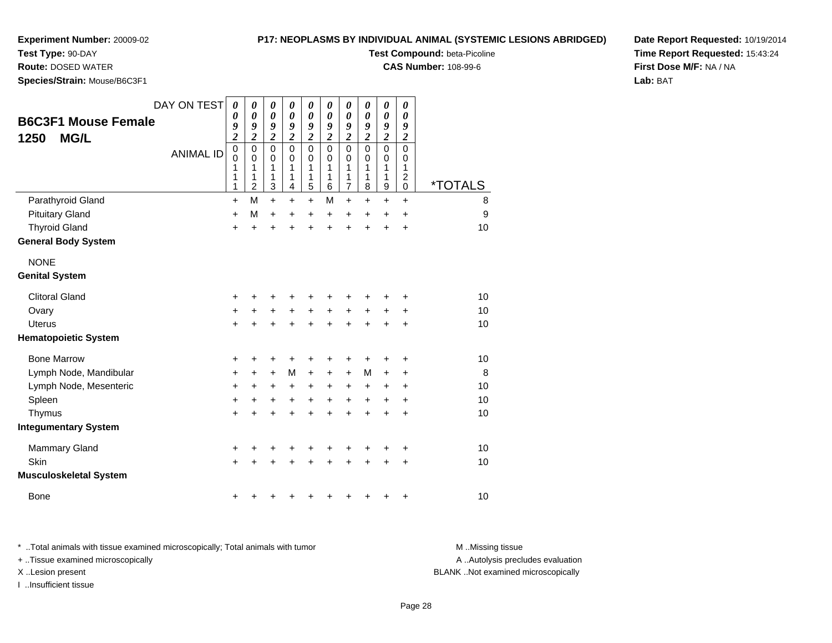**Test Type:** 90-DAY**Route:** DOSED WATER

# **P17: NEOPLASMS BY INDIVIDUAL ANIMAL (SYSTEMIC LESIONS ABRIDGED)**

**Test Compound:** beta-Picoline

**CAS Number:** 108-99-6

**Date Report Requested:** 10/19/2014**Time Report Requested:** 15:43:24**First Dose M/F:** NA / NA**Lab:** BAT

**Species/Strain:** Mouse/B6C3F1

|                               | DAY ON TEST      | $\boldsymbol{\theta}$        | 0                            | $\boldsymbol{\theta}$ | 0                            | 0                            | 0                     | 0                     | 0                     | $\boldsymbol{\theta}$        | 0                     |                       |
|-------------------------------|------------------|------------------------------|------------------------------|-----------------------|------------------------------|------------------------------|-----------------------|-----------------------|-----------------------|------------------------------|-----------------------|-----------------------|
| <b>B6C3F1 Mouse Female</b>    |                  | $\boldsymbol{\theta}$        | $\pmb{\theta}$               | $\boldsymbol{\theta}$ | $\pmb{\theta}$               | $\pmb{\theta}$               | $\boldsymbol{\theta}$ | $\boldsymbol{\theta}$ | $\boldsymbol{\theta}$ | $\pmb{\theta}$               | 0                     |                       |
| <b>MG/L</b><br>1250           |                  | 9<br>$\overline{\mathbf{c}}$ | 9<br>$\overline{\mathbf{c}}$ | 9<br>$\overline{2}$   | 9<br>$\overline{\mathbf{c}}$ | 9<br>$\overline{\mathbf{c}}$ | 9<br>$\overline{2}$   | 9<br>$\overline{c}$   | 9<br>$\overline{2}$   | 9<br>$\overline{\mathbf{c}}$ | 9<br>$\boldsymbol{2}$ |                       |
|                               | <b>ANIMAL ID</b> | $\mathbf 0$                  | $\mathbf 0$                  | $\mathbf 0$           | $\mathbf 0$                  | $\mathbf 0$                  | $\overline{0}$        | $\mathsf 0$           | $\mathbf 0$           | $\overline{0}$               | $\mathbf 0$           |                       |
|                               |                  | $\mathbf 0$                  | $\mathbf 0$                  | $\mathbf 0$           | $\mathbf 0$                  | $\mathbf 0$                  | $\Omega$              | $\Omega$              | $\Omega$              | $\pmb{0}$                    | $\mathbf 0$           |                       |
|                               |                  | 1<br>1                       | 1<br>1                       | 1<br>1                | 1<br>1                       | 1<br>1                       | 1<br>1                | 1<br>1                | 1<br>1                | $\mathbf{1}$<br>$\mathbf{1}$ | 1<br>$\overline{c}$   |                       |
|                               |                  | 1                            | $\overline{c}$               | 3                     | 4                            | $\overline{5}$               | 6                     | $\overline{7}$        | 8                     | $\boldsymbol{9}$             | $\pmb{0}$             | <i><b>*TOTALS</b></i> |
| Parathyroid Gland             |                  | +                            | M                            | $\ddot{}$             | $\ddot{}$                    | $+$                          | М                     | $\ddot{}$             | $\ddot{}$             | $+$                          | $+$                   | 8                     |
| <b>Pituitary Gland</b>        |                  | $\ddot{}$                    | M                            | $\ddot{}$             | $\ddot{}$                    | $\ddot{}$                    | $\ddot{}$             | $\ddot{}$             | $\ddot{}$             | $\ddot{}$                    | $\ddot{}$             | 9                     |
| <b>Thyroid Gland</b>          |                  | $\ddot{}$                    | $\ddot{}$                    | $\ddot{}$             |                              | $\ddot{}$                    | $\ddot{}$             | ÷                     | $\ddot{}$             | $\ddot{}$                    | $\ddot{}$             | 10                    |
| <b>General Body System</b>    |                  |                              |                              |                       |                              |                              |                       |                       |                       |                              |                       |                       |
| <b>NONE</b>                   |                  |                              |                              |                       |                              |                              |                       |                       |                       |                              |                       |                       |
| <b>Genital System</b>         |                  |                              |                              |                       |                              |                              |                       |                       |                       |                              |                       |                       |
| <b>Clitoral Gland</b>         |                  | +                            | +                            | +                     | +                            | +                            | ٠                     | +                     |                       |                              | ٠                     | 10                    |
| Ovary                         |                  | $\ddot{}$                    | +                            | $\ddot{}$             | $\ddot{}$                    | $\ddot{}$                    | $\ddot{}$             | $\ddot{}$             | +                     | $\ddot{}$                    | $\ddot{}$             | 10                    |
| <b>Uterus</b>                 |                  | $\ddot{}$                    | $\ddot{}$                    | $\ddot{}$             | $\ddot{}$                    | $\ddot{}$                    | $\ddot{}$             | $\ddot{}$             | $\ddot{}$             | $\ddot{}$                    | $\ddot{}$             | 10                    |
| <b>Hematopoietic System</b>   |                  |                              |                              |                       |                              |                              |                       |                       |                       |                              |                       |                       |
| <b>Bone Marrow</b>            |                  | +                            | +                            | +                     | +                            | +                            | +                     | +                     | +                     | +                            | +                     | 10                    |
| Lymph Node, Mandibular        |                  | $\ddot{}$                    | $\ddot{}$                    | $\ddot{}$             | M                            | $\ddot{}$                    | $\ddot{}$             | $\ddot{}$             | М                     | $\ddot{}$                    | $\ddot{}$             | 8                     |
| Lymph Node, Mesenteric        |                  | +                            | +                            | +                     | +                            | +                            | +                     | +                     | +                     | +                            | +                     | 10                    |
| Spleen                        |                  | $\ddot{}$                    | $\ddot{}$                    | $\ddot{}$             | $\ddot{}$                    | $+$                          | $\ddot{}$             | $\ddot{}$             | $\ddot{}$             | $\ddot{}$                    | $\ddot{}$             | 10                    |
| Thymus                        |                  | +                            | $\ddot{}$                    | $\ddot{}$             | $\ddot{}$                    | $\ddot{}$                    | $\ddot{}$             | $\ddot{}$             | $\ddot{}$             | $\ddot{}$                    | +                     | 10                    |
| <b>Integumentary System</b>   |                  |                              |                              |                       |                              |                              |                       |                       |                       |                              |                       |                       |
| <b>Mammary Gland</b>          |                  | +                            | +                            | +                     | +                            | +                            | ٠                     | +                     | +                     | ٠                            | +                     | 10                    |
| Skin                          |                  | +                            |                              |                       |                              |                              |                       | +                     |                       | +                            | $\ddot{}$             | 10                    |
| <b>Musculoskeletal System</b> |                  |                              |                              |                       |                              |                              |                       |                       |                       |                              |                       |                       |
| <b>Bone</b>                   |                  | +                            |                              |                       |                              |                              |                       |                       |                       |                              | +                     | 10                    |

\* ..Total animals with tissue examined microscopically; Total animals with tumor **M** . Missing tissue M ..Missing tissue + ..Tissue examined microscopically X ..Lesion present BLANK ..Not examined microscopically

I ..Insufficient tissue

A ..Autolysis precludes evaluation